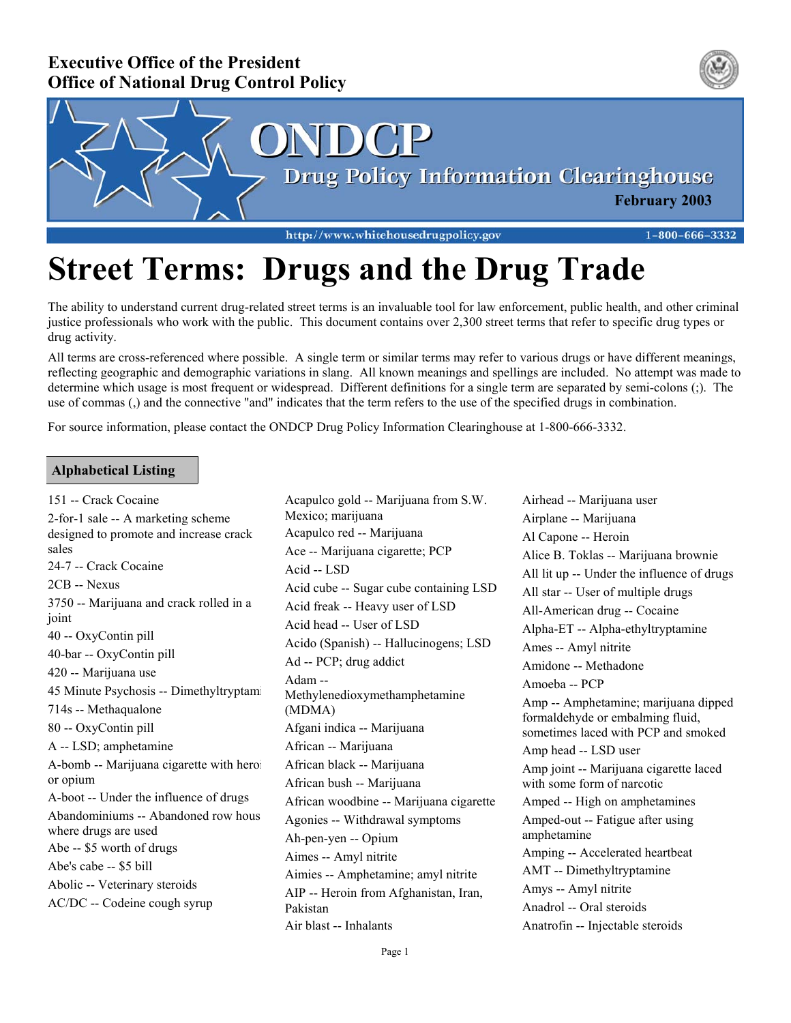## **Executive Office of the President Office of National Drug Control Policy**



## **Street Terms: Drugs and the Drug Trade**

The ability to understand current drug-related street terms is an invaluable tool for law enforcement, public health, and other criminal justice professionals who work with the public. This document contains over 2,300 street terms that refer to specific drug types or drug activity.

All terms are cross-referenced where possible. A single term or similar terms may refer to various drugs or have different meanings, reflecting geographic and demographic variations in slang. All known meanings and spellings are included. No attempt was made to determine which usage is most frequent or widespread. Different definitions for a single term are separated by semi-colons (;). The use of commas (,) and the connective "and" indicates that the term refers to the use of the specified drugs in combination.

For source information, please contact the ONDCP Drug Policy Information Clearinghouse at 1-800-666-3332.

## **Alphabetical Listing**

151 -- Crack Cocaine 2-for-1 sale -- A marketing scheme designed to promote and increase crack sales 24-7 -- Crack Cocaine 2CB -- Nexus 3750 -- Marijuana and crack rolled in a joint 40 -- OxyContin pill 40-bar -- OxyContin pill 420 -- Marijuana use 45 Minute Psychosis -- Dimethyltryptami 714s -- Methaqualone 80 -- OxyContin pill A -- LSD; amphetamine A-bomb -- Marijuana cigarette with heroi or opium A-boot -- Under the influence of drugs Abandominiums -- Abandoned row hous where drugs are used Abe -- \$5 worth of drugs Abe's cabe -- \$5 bill Abolic -- Veterinary steroids AC/DC -- Codeine cough syrup

Acapulco gold -- Marijuana from S.W. Mexico; marijuana Acapulco red -- Marijuana Ace -- Marijuana cigarette; PCP Acid -- LSD Acid cube -- Sugar cube containing LSD Acid freak -- Heavy user of LSD Acid head -- User of LSD Acido (Spanish) -- Hallucinogens; LSD Ad -- PCP; drug addict Adam -- Methylenedioxymethamphetamine (MDMA) Afgani indica -- Marijuana African -- Marijuana African black -- Marijuana African bush -- Marijuana African woodbine -- Marijuana cigarette Agonies -- Withdrawal symptoms Ah-pen-yen -- Opium Aimes -- Amyl nitrite Aimies -- Amphetamine; amyl nitrite AIP -- Heroin from Afghanistan, Iran, Pakistan Air blast -- Inhalants

Airhead -- Marijuana user Airplane -- Marijuana Al Capone -- Heroin Alice B. Toklas -- Marijuana brownie All lit up -- Under the influence of drugs All star -- User of multiple drugs All-American drug -- Cocaine Alpha-ET -- Alpha-ethyltryptamine Ames -- Amyl nitrite Amidone -- Methadone Amoeba -- PCP Amp -- Amphetamine; marijuana dipped formaldehyde or embalming fluid, sometimes laced with PCP and smoked Amp head -- LSD user Amp joint -- Marijuana cigarette laced with some form of narcotic Amped -- High on amphetamines Amped-out -- Fatigue after using amphetamine Amping -- Accelerated heartbeat AMT -- Dimethyltryptamine Amys -- Amyl nitrite Anadrol -- Oral steroids Anatrofin -- Injectable steroids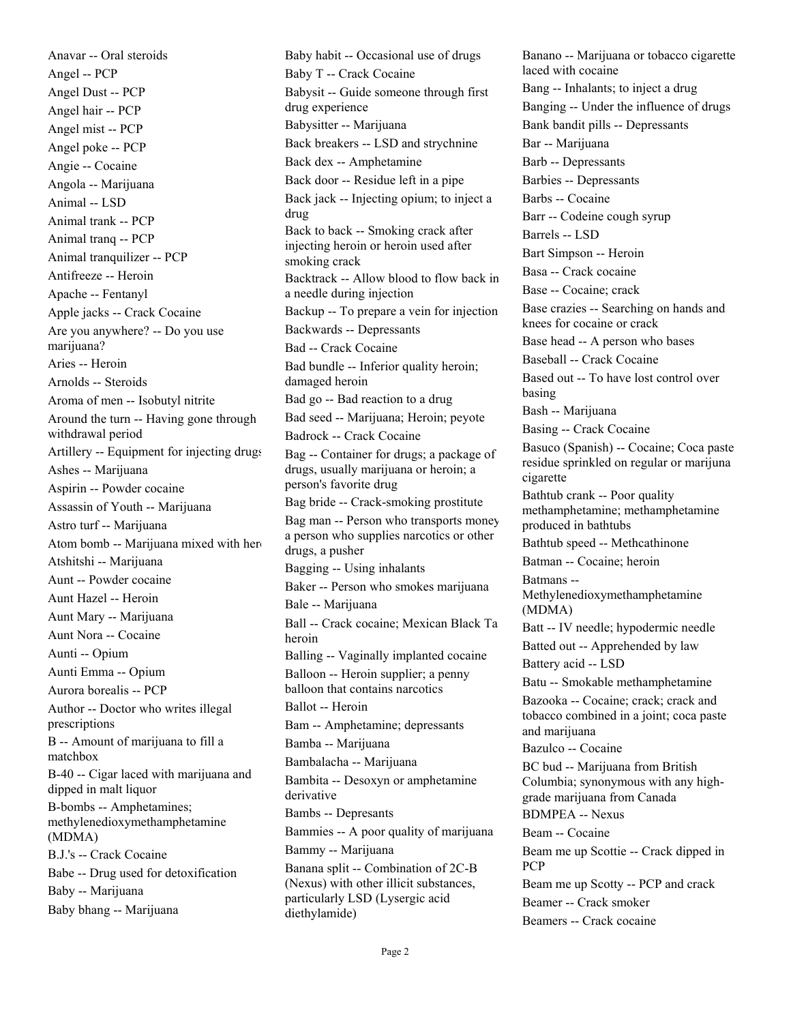Anavar -- Oral steroids Angel -- PCP Angel Dust -- PCP Angel hair -- PCP Angel mist -- PCP Angel poke -- PCP Angie -- Cocaine Angola -- Marijuana Animal -- LSD Animal trank -- PCP Animal tranq -- PCP Animal tranquilizer -- PCP Antifreeze -- Heroin Apache -- Fentanyl Apple jacks -- Crack Cocaine Are you anywhere? -- Do you use marijuana? Aries -- Heroin Arnolds -- Steroids Aroma of men -- Isobutyl nitrite Around the turn -- Having gone through withdrawal period Artillery -- Equipment for injecting drugs Ashes -- Marijuana Aspirin -- Powder cocaine Assassin of Youth -- Marijuana Astro turf -- Marijuana Atom bomb -- Marijuana mixed with her Atshitshi -- Marijuana Aunt -- Powder cocaine Aunt Hazel -- Heroin Aunt Mary -- Marijuana Aunt Nora -- Cocaine Aunti -- Opium Aunti Emma -- Opium Aurora borealis -- PCP Author -- Doctor who writes illegal prescriptions B -- Amount of marijuana to fill a matchbox B-40 -- Cigar laced with marijuana and dipped in malt liquor B-bombs -- Amphetamines; methylenedioxymethamphetamine (MDMA) B.J.'s -- Crack Cocaine Babe -- Drug used for detoxification Baby -- Marijuana Baby bhang -- Marijuana

Baby habit -- Occasional use of drugs Baby T -- Crack Cocaine Babysit -- Guide someone through first drug experience Babysitter -- Marijuana Back breakers -- LSD and strychnine Back dex -- Amphetamine Back door -- Residue left in a pipe Back jack -- Injecting opium; to inject a drug Back to back -- Smoking crack after injecting heroin or heroin used after smoking crack Backtrack -- Allow blood to flow back in a needle during injection Backup -- To prepare a vein for injection Backwards -- Depressants Bad -- Crack Cocaine Bad bundle -- Inferior quality heroin; damaged heroin Bad go -- Bad reaction to a drug Bad seed -- Marijuana; Heroin; peyote Badrock -- Crack Cocaine Bag -- Container for drugs; a package of drugs, usually marijuana or heroin; a person's favorite drug Bag bride -- Crack-smoking prostitute Bag man -- Person who transports money a person who supplies narcotics or other drugs, a pusher Bagging -- Using inhalants Baker -- Person who smokes marijuana Bale -- Marijuana Ball -- Crack cocaine; Mexican Black Ta heroin Balling -- Vaginally implanted cocaine Balloon -- Heroin supplier; a penny balloon that contains narcotics Ballot -- Heroin Bam -- Amphetamine; depressants Bamba -- Marijuana Bambalacha -- Marijuana Bambita -- Desoxyn or amphetamine derivative Bambs -- Depresants Bammies -- A poor quality of marijuana Bammy -- Marijuana Banana split -- Combination of 2C-B (Nexus) with other illicit substances, particularly LSD (Lysergic acid diethylamide)

Banano -- Marijuana or tobacco cigarette laced with cocaine Bang -- Inhalants; to inject a drug Banging -- Under the influence of drugs Bank bandit pills -- Depressants Bar -- Marijuana Barb -- Depressants Barbies -- Depressants Barbs -- Cocaine Barr -- Codeine cough syrup Barrels -- LSD Bart Simpson -- Heroin Basa -- Crack cocaine Base -- Cocaine; crack Base crazies -- Searching on hands and knees for cocaine or crack Base head -- A person who bases Baseball -- Crack Cocaine Based out -- To have lost control over basing Bash -- Marijuana Basing -- Crack Cocaine Basuco (Spanish) -- Cocaine; Coca paste residue sprinkled on regular or marijuna cigarette Bathtub crank -- Poor quality methamphetamine; methamphetamine produced in bathtubs Bathtub speed -- Methcathinone Batman -- Cocaine; heroin Batmans -- Methylenedioxymethamphetamine (MDMA) Batt -- IV needle; hypodermic needle Batted out -- Apprehended by law Battery acid -- LSD Batu -- Smokable methamphetamine Bazooka -- Cocaine; crack; crack and tobacco combined in a joint; coca paste and marijuana Bazulco -- Cocaine BC bud -- Marijuana from British Columbia; synonymous with any highgrade marijuana from Canada BDMPEA -- Nexus Beam -- Cocaine Beam me up Scottie -- Crack dipped in PCP Beam me up Scotty -- PCP and crack Beamer -- Crack smoker Beamers -- Crack cocaine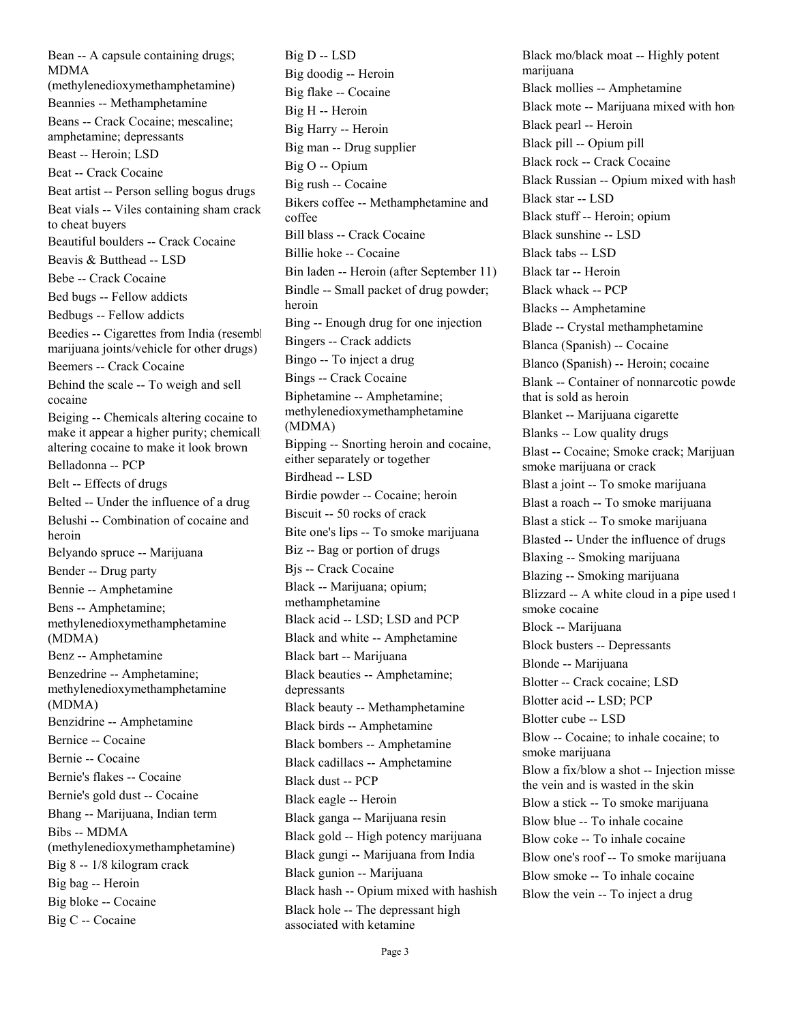Bean -- A capsule containing drugs; MDMA (methylenedioxymethamphetamine) Beannies -- Methamphetamine Beans -- Crack Cocaine; mescaline; amphetamine; depressants Beast -- Heroin; LSD Beat -- Crack Cocaine Beat artist -- Person selling bogus drugs Beat vials -- Viles containing sham crack to cheat buyers Beautiful boulders -- Crack Cocaine Beavis & Butthead -- LSD Bebe -- Crack Cocaine Bed bugs -- Fellow addicts Bedbugs -- Fellow addicts Beedies -- Cigarettes from India (resemble) marijuana joints/vehicle for other drugs) Beemers -- Crack Cocaine Behind the scale -- To weigh and sell cocaine Beiging -- Chemicals altering cocaine to make it appear a higher purity; chemicall altering cocaine to make it look brown Belladonna -- PCP Belt -- Effects of drugs Belted -- Under the influence of a drug Belushi -- Combination of cocaine and heroin Belyando spruce -- Marijuana Bender -- Drug party Bennie -- Amphetamine Bens -- Amphetamine; methylenedioxymethamphetamine (MDMA) Benz -- Amphetamine Benzedrine -- Amphetamine; methylenedioxymethamphetamine (MDMA) Benzidrine -- Amphetamine Bernice -- Cocaine Bernie -- Cocaine Bernie's flakes -- Cocaine Bernie's gold dust -- Cocaine Bhang -- Marijuana, Indian term Bibs -- MDMA (methylenedioxymethamphetamine) Big 8 -- 1/8 kilogram crack Big bag -- Heroin Big bloke -- Cocaine Big C -- Cocaine

Big D -- LSD Big doodig -- Heroin Big flake -- Cocaine Big H -- Heroin Big Harry -- Heroin Big man -- Drug supplier Big O -- Opium Big rush -- Cocaine Bikers coffee -- Methamphetamine and coffee Bill blass -- Crack Cocaine Billie hoke -- Cocaine Bin laden -- Heroin (after September 11) Bindle -- Small packet of drug powder; heroin Bing -- Enough drug for one injection Bingers -- Crack addicts Bingo -- To inject a drug Bings -- Crack Cocaine Biphetamine -- Amphetamine; methylenedioxymethamphetamine (MDMA) Bipping -- Snorting heroin and cocaine, either separately or together Birdhead -- LSD Birdie powder -- Cocaine; heroin Biscuit -- 50 rocks of crack Bite one's lips -- To smoke marijuana Biz -- Bag or portion of drugs Bjs -- Crack Cocaine Black -- Marijuana; opium; methamphetamine Black acid -- LSD; LSD and PCP Black and white -- Amphetamine Black bart -- Marijuana Black beauties -- Amphetamine; depressants Black beauty -- Methamphetamine Black birds -- Amphetamine Black bombers -- Amphetamine Black cadillacs -- Amphetamine Black dust -- PCP Black eagle -- Heroin Black ganga -- Marijuana resin Black gold -- High potency marijuana Black gungi -- Marijuana from India Black gunion -- Marijuana Black hash -- Opium mixed with hashish Black hole -- The depressant high associated with ketamine

Black mo/black moat -- Highly potent marijuana Black mollies -- Amphetamine Black mote -- Marijuana mixed with hon Black pearl -- Heroin Black pill -- Opium pill Black rock -- Crack Cocaine Black Russian -- Opium mixed with hash Black star -- LSD Black stuff -- Heroin; opium Black sunshine -- LSD Black tabs -- LSD Black tar -- Heroin Black whack -- PCP Blacks -- Amphetamine Blade -- Crystal methamphetamine Blanca (Spanish) -- Cocaine Blanco (Spanish) -- Heroin; cocaine Blank -- Container of nonnarcotic powde that is sold as heroin Blanket -- Marijuana cigarette Blanks -- Low quality drugs Blast -- Cocaine; Smoke crack; Marijuan smoke marijuana or crack Blast a joint -- To smoke marijuana Blast a roach -- To smoke marijuana Blast a stick -- To smoke marijuana Blasted -- Under the influence of drugs Blaxing -- Smoking marijuana Blazing -- Smoking marijuana Blizzard -- A white cloud in a pipe used t smoke cocaine Block -- Marijuana Block busters -- Depressants Blonde -- Marijuana Blotter -- Crack cocaine; LSD Blotter acid -- LSD; PCP Blotter cube -- LSD Blow -- Cocaine; to inhale cocaine; to smoke marijuana Blow a fix/blow a shot -- Injection misses the vein and is wasted in the skin Blow a stick -- To smoke marijuana Blow blue -- To inhale cocaine Blow coke -- To inhale cocaine Blow one's roof -- To smoke marijuana Blow smoke -- To inhale cocaine Blow the vein -- To inject a drug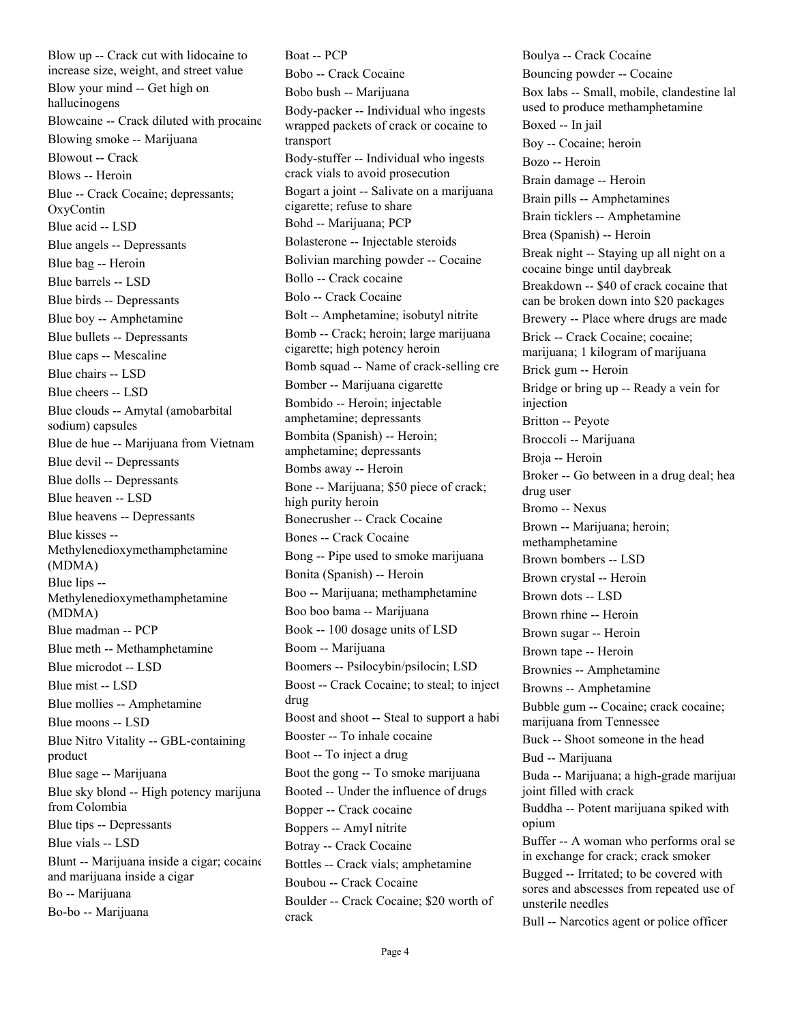Blow up -- Crack cut with lidocaine to increase size, weight, and street value Blow your mind -- Get high on hallucinogens Blowcaine -- Crack diluted with procaine Blowing smoke -- Marijuana Blowout -- Crack Blows -- Heroin Blue -- Crack Cocaine; depressants; OxyContin Blue acid -- LSD Blue angels -- Depressants Blue bag -- Heroin Blue barrels -- LSD Blue birds -- Depressants Blue boy -- Amphetamine Blue bullets -- Depressants Blue caps -- Mescaline Blue chairs -- LSD Blue cheers -- LSD Blue clouds -- Amytal (amobarbital sodium) capsules Blue de hue -- Marijuana from Vietnam Blue devil -- Depressants Blue dolls -- Depressants Blue heaven -- LSD Blue heavens -- Depressants Blue kisses -- Methylenedioxymethamphetamine (MDMA) Blue lips -- Methylenedioxymethamphetamine (MDMA) Blue madman -- PCP Blue meth -- Methamphetamine Blue microdot -- LSD Blue mist -- LSD Blue mollies -- Amphetamine Blue moons -- LSD Blue Nitro Vitality -- GBL-containing product Blue sage -- Marijuana Blue sky blond -- High potency marijuna from Colombia Blue tips -- Depressants Blue vials -- LSD Blunt -- Marijuana inside a cigar; cocaine and marijuana inside a cigar Bo -- Marijuana Bo-bo -- Marijuana

Boat -- PCP Bobo -- Crack Cocaine Bobo bush -- Marijuana Body-packer -- Individual who ingests wrapped packets of crack or cocaine to transport Body-stuffer -- Individual who ingests crack vials to avoid prosecution Bogart a joint -- Salivate on a marijuana cigarette; refuse to share Bohd -- Marijuana; PCP Bolasterone -- Injectable steroids Bolivian marching powder -- Cocaine Bollo -- Crack cocaine Bolo -- Crack Cocaine Bolt -- Amphetamine; isobutyl nitrite Bomb -- Crack; heroin; large marijuana cigarette; high potency heroin Bomb squad -- Name of crack-selling cre Bomber -- Marijuana cigarette Bombido -- Heroin; injectable amphetamine; depressants Bombita (Spanish) -- Heroin; amphetamine; depressants Bombs away -- Heroin Bone -- Marijuana; \$50 piece of crack; high purity heroin Bonecrusher -- Crack Cocaine Bones -- Crack Cocaine Bong -- Pipe used to smoke marijuana Bonita (Spanish) -- Heroin Boo -- Marijuana; methamphetamine Boo boo bama -- Marijuana Book -- 100 dosage units of LSD Boom -- Marijuana Boomers -- Psilocybin/psilocin; LSD Boost -- Crack Cocaine; to steal; to inject drug Boost and shoot -- Steal to support a habi Booster -- To inhale cocaine Boot -- To inject a drug Boot the gong -- To smoke marijuana Booted -- Under the influence of drugs Bopper -- Crack cocaine Boppers -- Amyl nitrite Botray -- Crack Cocaine Bottles -- Crack vials; amphetamine Boubou -- Crack Cocaine Boulder -- Crack Cocaine; \$20 worth of crack

Boulya -- Crack Cocaine Bouncing powder -- Cocaine Box labs -- Small, mobile, clandestine lab used to produce methamphetamine Boxed -- In jail Boy -- Cocaine; heroin Bozo -- Heroin Brain damage -- Heroin Brain pills -- Amphetamines Brain ticklers -- Amphetamine Brea (Spanish) -- Heroin Break night -- Staying up all night on a cocaine binge until daybreak Breakdown -- \$40 of crack cocaine that can be broken down into \$20 packages Brewery -- Place where drugs are made Brick -- Crack Cocaine; cocaine; marijuana; 1 kilogram of marijuana Brick gum -- Heroin Bridge or bring up -- Ready a vein for injection Britton -- Peyote Broccoli -- Marijuana Broja -- Heroin Broker -- Go between in a drug deal; hea drug user Bromo -- Nexus Brown -- Marijuana; heroin; methamphetamine Brown bombers -- LSD Brown crystal -- Heroin Brown dots -- LSD Brown rhine -- Heroin Brown sugar -- Heroin Brown tape -- Heroin Brownies -- Amphetamine Browns -- Amphetamine Bubble gum -- Cocaine; crack cocaine; marijuana from Tennessee Buck -- Shoot someone in the head Bud -- Marijuana Buda -- Marijuana; a high-grade marijuan joint filled with crack Buddha -- Potent marijuana spiked with opium Buffer -- A woman who performs oral se in exchange for crack; crack smoker Bugged -- Irritated; to be covered with sores and abscesses from repeated use of unsterile needles Bull -- Narcotics agent or police officer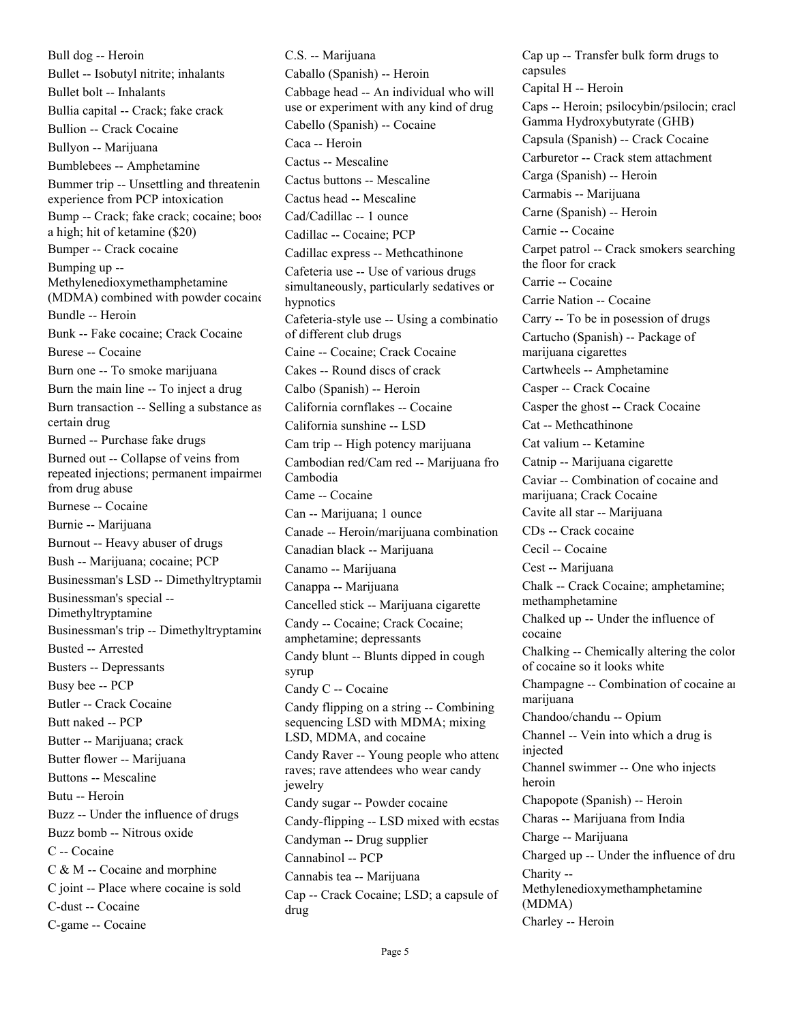Bull dog -- Heroin Bullet -- Isobutyl nitrite; inhalants Bullet bolt -- Inhalants Bullia capital -- Crack; fake crack Bullion -- Crack Cocaine Bullyon -- Marijuana Bumblebees -- Amphetamine Bummer trip -- Unsettling and threatenin experience from PCP intoxication Bump -- Crack; fake crack; cocaine; boos a high; hit of ketamine (\$20) Bumper -- Crack cocaine Bumping up -- Methylenedioxymethamphetamine (MDMA) combined with powder cocaine Bundle -- Heroin Bunk -- Fake cocaine; Crack Cocaine Burese -- Cocaine Burn one -- To smoke marijuana Burn the main line -- To inject a drug Burn transaction -- Selling a substance as certain drug Burned -- Purchase fake drugs Burned out -- Collapse of veins from repeated injections; permanent impairment from drug abuse Burnese -- Cocaine Burnie -- Marijuana Burnout -- Heavy abuser of drugs Bush -- Marijuana; cocaine; PCP Businessman's LSD -- Dimethyltryptamin Businessman's special -- Dimethyltryptamine Businessman's trip -- Dimethyltryptamine Busted -- Arrested Busters -- Depressants Busy bee -- PCP Butler -- Crack Cocaine Butt naked -- PCP Butter -- Marijuana; crack Butter flower -- Marijuana Buttons -- Mescaline Butu -- Heroin Buzz -- Under the influence of drugs Buzz bomb -- Nitrous oxide C -- Cocaine C & M -- Cocaine and morphine C joint -- Place where cocaine is sold C-dust -- Cocaine C-game -- Cocaine

C.S. -- Marijuana Caballo (Spanish) -- Heroin Cabbage head -- An individual who will use or experiment with any kind of drug Cabello (Spanish) -- Cocaine Caca -- Heroin Cactus -- Mescaline Cactus buttons -- Mescaline Cactus head -- Mescaline Cad/Cadillac -- 1 ounce Cadillac -- Cocaine; PCP Cadillac express -- Methcathinone Cafeteria use -- Use of various drugs simultaneously, particularly sedatives or hypnotics Cafeteria-style use -- Using a combinatio of different club drugs Caine -- Cocaine; Crack Cocaine Cakes -- Round discs of crack Calbo (Spanish) -- Heroin California cornflakes -- Cocaine California sunshine -- LSD Cam trip -- High potency marijuana Cambodian red/Cam red -- Marijuana fro Cambodia Came -- Cocaine Can -- Marijuana; 1 ounce Canade -- Heroin/marijuana combination Canadian black -- Marijuana Canamo -- Marijuana Canappa -- Marijuana Cancelled stick -- Marijuana cigarette Candy -- Cocaine; Crack Cocaine; amphetamine; depressants Candy blunt -- Blunts dipped in cough syrup Candy C -- Cocaine Candy flipping on a string -- Combining sequencing LSD with MDMA; mixing LSD, MDMA, and cocaine Candy Raver -- Young people who attend raves; rave attendees who wear candy jewelry Candy sugar -- Powder cocaine Candy-flipping -- LSD mixed with ecstas Candyman -- Drug supplier Cannabinol -- PCP Cannabis tea -- Marijuana Cap -- Crack Cocaine; LSD; a capsule of drug

Cap up -- Transfer bulk form drugs to capsules Capital H -- Heroin Caps -- Heroin; psilocybin/psilocin; cracl Gamma Hydroxybutyrate (GHB) Capsula (Spanish) -- Crack Cocaine Carburetor -- Crack stem attachment Carga (Spanish) -- Heroin Carmabis -- Marijuana Carne (Spanish) -- Heroin Carnie -- Cocaine Carpet patrol -- Crack smokers searching the floor for crack Carrie -- Cocaine Carrie Nation -- Cocaine Carry -- To be in posession of drugs Cartucho (Spanish) -- Package of marijuana cigarettes Cartwheels -- Amphetamine Casper -- Crack Cocaine Casper the ghost -- Crack Cocaine Cat -- Methcathinone Cat valium -- Ketamine Catnip -- Marijuana cigarette Caviar -- Combination of cocaine and marijuana; Crack Cocaine Cavite all star -- Marijuana CDs -- Crack cocaine Cecil -- Cocaine Cest -- Marijuana Chalk -- Crack Cocaine; amphetamine; methamphetamine Chalked up -- Under the influence of cocaine Chalking -- Chemically altering the color of cocaine so it looks white Champagne -- Combination of cocaine an marijuana Chandoo/chandu -- Opium Channel -- Vein into which a drug is injected Channel swimmer -- One who injects heroin Chapopote (Spanish) -- Heroin Charas -- Marijuana from India Charge -- Marijuana Charged up -- Under the influence of dru Charity -- Methylenedioxymethamphetamine (MDMA) Charley -- Heroin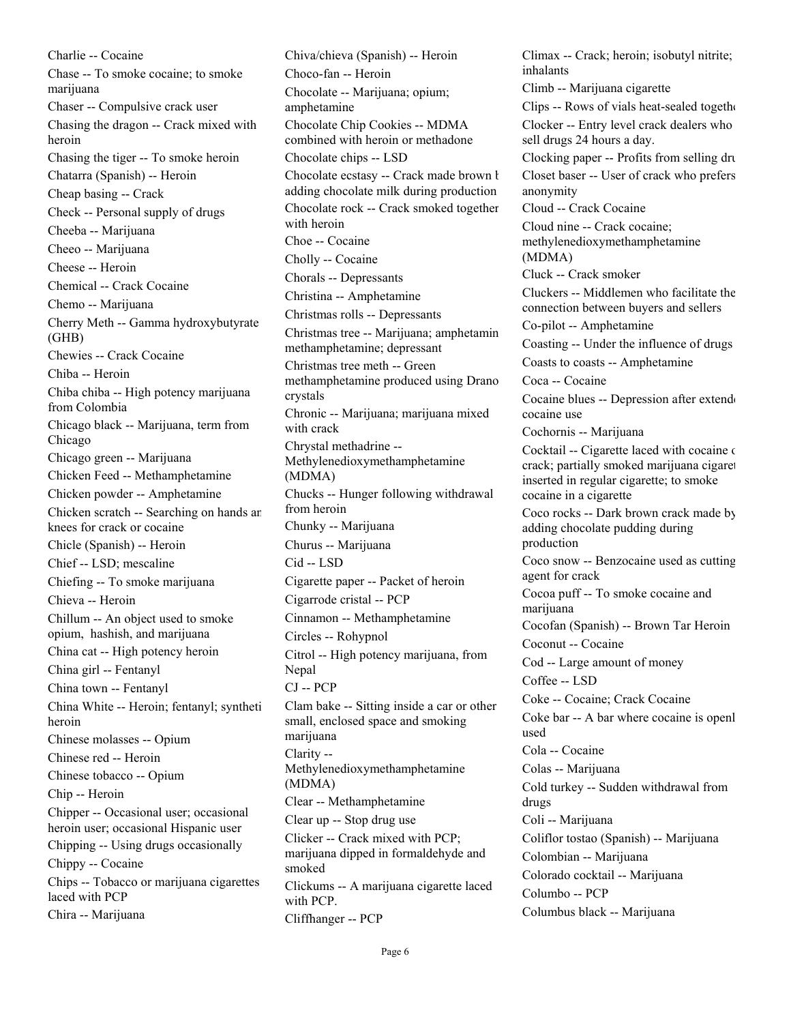Charlie -- Cocaine Chase -- To smoke cocaine; to smoke marijuana Chaser -- Compulsive crack user Chasing the dragon -- Crack mixed with heroin Chasing the tiger -- To smoke heroin Chatarra (Spanish) -- Heroin Cheap basing -- Crack Check -- Personal supply of drugs Cheeba -- Marijuana Cheeo -- Marijuana Cheese -- Heroin Chemical -- Crack Cocaine Chemo -- Marijuana Cherry Meth -- Gamma hydroxybutyrate (GHB) Chewies -- Crack Cocaine Chiba -- Heroin Chiba chiba -- High potency marijuana from Colombia Chicago black -- Marijuana, term from Chicago Chicago green -- Marijuana Chicken Feed -- Methamphetamine Chicken powder -- Amphetamine Chicken scratch -- Searching on hands an knees for crack or cocaine Chicle (Spanish) -- Heroin Chief -- LSD; mescaline Chiefing -- To smoke marijuana Chieva -- Heroin Chillum -- An object used to smoke opium, hashish, and marijuana China cat -- High potency heroin China girl -- Fentanyl China town -- Fentanyl China White -- Heroin; fentanyl; syntheti heroin Chinese molasses -- Opium Chinese red -- Heroin Chinese tobacco -- Opium Chip -- Heroin Chipper -- Occasional user; occasional heroin user; occasional Hispanic user Chipping -- Using drugs occasionally Chippy -- Cocaine Chips -- Tobacco or marijuana cigarettes laced with PCP Chira -- Marijuana

Chiva/chieva (Spanish) -- Heroin Choco-fan -- Heroin Chocolate -- Marijuana; opium; amphetamine Chocolate Chip Cookies -- MDMA combined with heroin or methadone Chocolate chips -- LSD Chocolate ecstasy -- Crack made brown b adding chocolate milk during production Chocolate rock -- Crack smoked together with heroin Choe -- Cocaine Cholly -- Cocaine Chorals -- Depressants Christina -- Amphetamine Christmas rolls -- Depressants Christmas tree -- Marijuana; amphetamin methamphetamine; depressant Christmas tree meth -- Green methamphetamine produced using Drano crystals Chronic -- Marijuana; marijuana mixed with crack Chrystal methadrine -- Methylenedioxymethamphetamine (MDMA) Chucks -- Hunger following withdrawal from heroin Chunky -- Marijuana Churus -- Marijuana Cid -- LSD Cigarette paper -- Packet of heroin Cigarrode cristal -- PCP Cinnamon -- Methamphetamine Circles -- Rohypnol Citrol -- High potency marijuana, from Nepal CJ -- PCP Clam bake -- Sitting inside a car or other small, enclosed space and smoking marijuana Clarity -- Methylenedioxymethamphetamine (MDMA) Clear -- Methamphetamine Clear up -- Stop drug use Clicker -- Crack mixed with PCP; marijuana dipped in formaldehyde and smoked Clickums -- A marijuana cigarette laced with PCP. Cliffhanger -- PCP

Climax -- Crack; heroin; isobutyl nitrite; inhalants Climb -- Marijuana cigarette Clips -- Rows of vials heat-sealed togethe Clocker -- Entry level crack dealers who sell drugs 24 hours a day. Clocking paper -- Profits from selling dru Closet baser -- User of crack who prefers anonymity Cloud -- Crack Cocaine Cloud nine -- Crack cocaine; methylenedioxymethamphetamine (MDMA) Cluck -- Crack smoker Cluckers -- Middlemen who facilitate the connection between buyers and sellers Co-pilot -- Amphetamine Coasting -- Under the influence of drugs Coasts to coasts -- Amphetamine Coca -- Cocaine Cocaine blues -- Depression after extende cocaine use Cochornis -- Marijuana Cocktail -- Cigarette laced with cocaine of crack; partially smoked marijuana cigaret inserted in regular cigarette; to smoke cocaine in a cigarette Coco rocks -- Dark brown crack made by adding chocolate pudding during production Coco snow -- Benzocaine used as cutting agent for crack Cocoa puff -- To smoke cocaine and marijuana Cocofan (Spanish) -- Brown Tar Heroin Coconut -- Cocaine Cod -- Large amount of money Coffee -- LSD Coke -- Cocaine; Crack Cocaine Coke bar -- A bar where cocaine is openl used Cola -- Cocaine Colas -- Marijuana Cold turkey -- Sudden withdrawal from drugs Coli -- Marijuana Coliflor tostao (Spanish) -- Marijuana Colombian -- Marijuana Colorado cocktail -- Marijuana Columbo -- PCP Columbus black -- Marijuana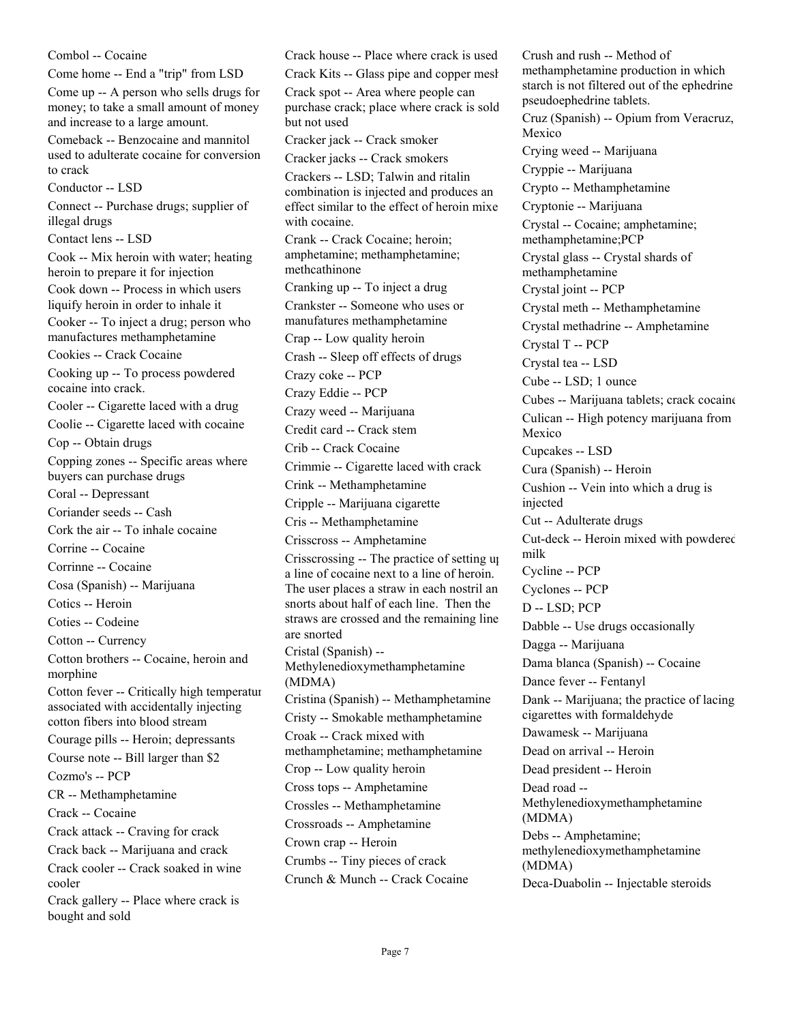Combol -- Cocaine Come home -- End a "trip" from LSD Come up -- A person who sells drugs for money; to take a small amount of money and increase to a large amount. Comeback -- Benzocaine and mannitol used to adulterate cocaine for conversion to crack Conductor -- LSD Connect -- Purchase drugs; supplier of illegal drugs Contact lens -- LSD Cook -- Mix heroin with water; heating heroin to prepare it for injection Cook down -- Process in which users liquify heroin in order to inhale it Cooker -- To inject a drug; person who manufactures methamphetamine Cookies -- Crack Cocaine Cooking up -- To process powdered cocaine into crack. Cooler -- Cigarette laced with a drug Coolie -- Cigarette laced with cocaine Cop -- Obtain drugs Copping zones -- Specific areas where buyers can purchase drugs Coral -- Depressant Coriander seeds -- Cash Cork the air -- To inhale cocaine Corrine -- Cocaine Corrinne -- Cocaine Cosa (Spanish) -- Marijuana Cotics -- Heroin Coties -- Codeine Cotton -- Currency Cotton brothers -- Cocaine, heroin and morphine Cotton fever -- Critically high temperatur associated with accidentally injecting cotton fibers into blood stream Courage pills -- Heroin; depressants Course note -- Bill larger than \$2 Cozmo's -- PCP CR -- Methamphetamine Crack -- Cocaine Crack attack -- Craving for crack Crack back -- Marijuana and crack Crack cooler -- Crack soaked in wine cooler Crack gallery -- Place where crack is bought and sold

Crack house -- Place where crack is used Crack Kits -- Glass pipe and copper mesh Crack spot -- Area where people can purchase crack; place where crack is sold but not used Cracker jack -- Crack smoker Cracker jacks -- Crack smokers Crackers -- LSD; Talwin and ritalin combination is injected and produces an effect similar to the effect of heroin mixe with cocaine. Crank -- Crack Cocaine; heroin; amphetamine; methamphetamine; methcathinone Cranking up -- To inject a drug Crankster -- Someone who uses or manufatures methamphetamine Crap -- Low quality heroin Crash -- Sleep off effects of drugs Crazy coke -- PCP Crazy Eddie -- PCP Crazy weed -- Marijuana Credit card -- Crack stem Crib -- Crack Cocaine Crimmie -- Cigarette laced with crack Crink -- Methamphetamine Cripple -- Marijuana cigarette Cris -- Methamphetamine Crisscross -- Amphetamine Crisscrossing -- The practice of setting up a line of cocaine next to a line of heroin. The user places a straw in each nostril an snorts about half of each line. Then the straws are crossed and the remaining line are snorted Cristal (Spanish) -- Methylenedioxymethamphetamine (MDMA) Cristina (Spanish) -- Methamphetamine Cristy -- Smokable methamphetamine Croak -- Crack mixed with methamphetamine; methamphetamine Crop -- Low quality heroin Cross tops -- Amphetamine Crossles -- Methamphetamine Crossroads -- Amphetamine Crown crap -- Heroin Crumbs -- Tiny pieces of crack Crunch & Munch -- Crack Cocaine

Crush and rush -- Method of methamphetamine production in which starch is not filtered out of the ephedrine pseudoephedrine tablets. Cruz (Spanish) -- Opium from Veracruz, Mexico Crying weed -- Marijuana Cryppie -- Marijuana Crypto -- Methamphetamine Cryptonie -- Marijuana Crystal -- Cocaine; amphetamine; methamphetamine;PCP Crystal glass -- Crystal shards of methamphetamine Crystal joint -- PCP Crystal meth -- Methamphetamine Crystal methadrine -- Amphetamine Crystal T -- PCP Crystal tea -- LSD Cube -- LSD; 1 ounce Cubes -- Marijuana tablets; crack cocaine Culican -- High potency marijuana from Mexico Cupcakes -- LSD Cura (Spanish) -- Heroin Cushion -- Vein into which a drug is injected Cut -- Adulterate drugs Cut-deck -- Heroin mixed with powdered milk Cycline -- PCP Cyclones -- PCP D -- LSD; PCP Dabble -- Use drugs occasionally Dagga -- Marijuana Dama blanca (Spanish) -- Cocaine Dance fever -- Fentanyl Dank -- Marijuana; the practice of lacing cigarettes with formaldehyde Dawamesk -- Marijuana Dead on arrival -- Heroin Dead president -- Heroin Dead road -- Methylenedioxymethamphetamine (MDMA) Debs -- Amphetamine; methylenedioxymethamphetamine (MDMA) Deca-Duabolin -- Injectable steroids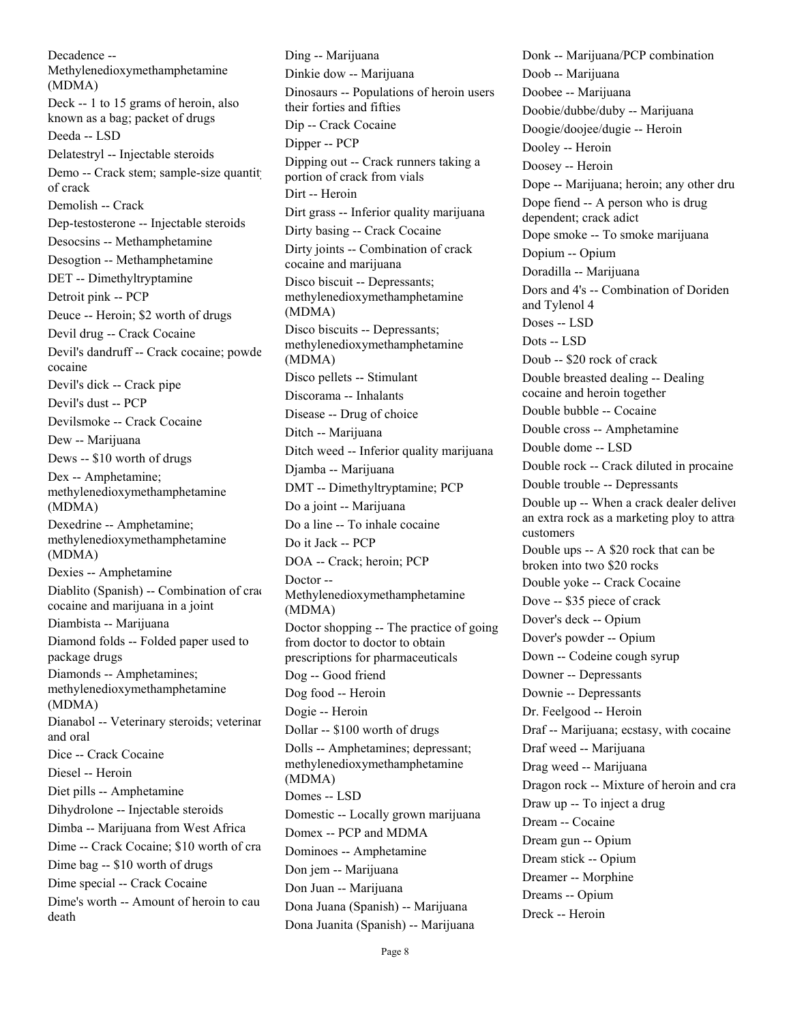Decadence -- Methylenedioxymethamphetamine (MDMA) Deck -- 1 to 15 grams of heroin, also known as a bag; packet of drugs Deeda -- LSD Delatestryl -- Injectable steroids Demo -- Crack stem; sample-size quantity of crack Demolish -- Crack Dep-testosterone -- Injectable steroids Desocsins -- Methamphetamine Desogtion -- Methamphetamine DET -- Dimethyltryptamine Detroit pink -- PCP Deuce -- Heroin; \$2 worth of drugs Devil drug -- Crack Cocaine Devil's dandruff -- Crack cocaine; powde cocaine Devil's dick -- Crack pipe Devil's dust -- PCP Devilsmoke -- Crack Cocaine Dew -- Marijuana Dews -- \$10 worth of drugs Dex -- Amphetamine; methylenedioxymethamphetamine (MDMA) Dexedrine -- Amphetamine; methylenedioxymethamphetamine (MDMA) Dexies -- Amphetamine Diablito (Spanish) -- Combination of crac cocaine and marijuana in a joint Diambista -- Marijuana Diamond folds -- Folded paper used to package drugs Diamonds -- Amphetamines; methylenedioxymethamphetamine (MDMA) Dianabol -- Veterinary steroids; veterinar and oral Dice -- Crack Cocaine Diesel -- Heroin Diet pills -- Amphetamine Dihydrolone -- Injectable steroids Dimba -- Marijuana from West Africa Dime -- Crack Cocaine; \$10 worth of cra Dime bag -- \$10 worth of drugs Dime special -- Crack Cocaine Dime's worth -- Amount of heroin to cau death

Ding -- Marijuana Dinkie dow -- Marijuana Dinosaurs -- Populations of heroin users their forties and fifties Dip -- Crack Cocaine Dipper -- PCP Dipping out -- Crack runners taking a portion of crack from vials Dirt -- Heroin Dirt grass -- Inferior quality marijuana Dirty basing -- Crack Cocaine Dirty joints -- Combination of crack cocaine and marijuana Disco biscuit -- Depressants; methylenedioxymethamphetamine (MDMA) Disco biscuits -- Depressants; methylenedioxymethamphetamine (MDMA) Disco pellets -- Stimulant Discorama -- Inhalants Disease -- Drug of choice Ditch -- Marijuana Ditch weed -- Inferior quality marijuana Djamba -- Marijuana DMT -- Dimethyltryptamine; PCP Do a joint -- Marijuana Do a line -- To inhale cocaine Do it Jack -- PCP DOA -- Crack; heroin; PCP Doctor -- Methylenedioxymethamphetamine (MDMA) Doctor shopping -- The practice of going from doctor to doctor to obtain prescriptions for pharmaceuticals Dog -- Good friend Dog food -- Heroin Dogie -- Heroin Dollar -- \$100 worth of drugs Dolls -- Amphetamines; depressant; methylenedioxymethamphetamine (MDMA) Domes -- LSD Domestic -- Locally grown marijuana Domex -- PCP and MDMA Dominoes -- Amphetamine Don jem -- Marijuana Don Juan -- Marijuana Dona Juana (Spanish) -- Marijuana Dona Juanita (Spanish) -- Marijuana

Donk -- Marijuana/PCP combination Doob -- Marijuana Doobee -- Marijuana Doobie/dubbe/duby -- Marijuana Doogie/doojee/dugie -- Heroin Dooley -- Heroin Doosey -- Heroin Dope -- Marijuana; heroin; any other dru Dope fiend -- A person who is drug dependent; crack adict Dope smoke -- To smoke marijuana Dopium -- Opium Doradilla -- Marijuana Dors and 4's -- Combination of Doriden and Tylenol 4 Doses -- LSD Dots -- LSD Doub -- \$20 rock of crack Double breasted dealing -- Dealing cocaine and heroin together Double bubble -- Cocaine Double cross -- Amphetamine Double dome -- LSD Double rock -- Crack diluted in procaine Double trouble -- Depressants Double up -- When a crack dealer deliver an extra rock as a marketing ploy to attra customers Double ups -- A \$20 rock that can be broken into two \$20 rocks Double yoke -- Crack Cocaine Dove -- \$35 piece of crack Dover's deck -- Opium Dover's powder -- Opium Down -- Codeine cough syrup Downer -- Depressants Downie -- Depressants Dr. Feelgood -- Heroin Draf -- Marijuana; ecstasy, with cocaine Draf weed -- Marijuana Drag weed -- Marijuana Dragon rock -- Mixture of heroin and cra Draw up -- To inject a drug Dream -- Cocaine Dream gun -- Opium Dream stick -- Opium Dreamer -- Morphine Dreams -- Opium Dreck -- Heroin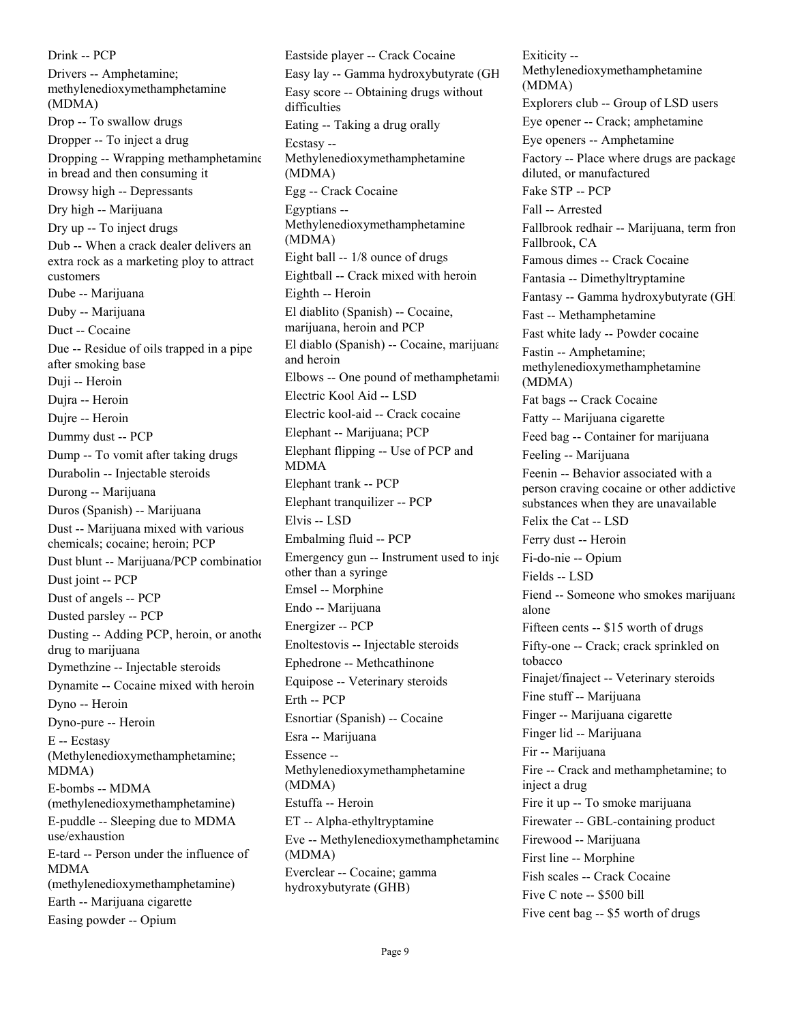Drink -- PCP Drivers -- Amphetamine; methylenedioxymethamphetamine (MDMA) Drop -- To swallow drugs Dropper -- To inject a drug Dropping -- Wrapping methamphetamine in bread and then consuming it Drowsy high -- Depressants Dry high -- Marijuana Dry up -- To inject drugs Dub -- When a crack dealer delivers an extra rock as a marketing ploy to attract customers Dube -- Marijuana Duby -- Marijuana Duct -- Cocaine Due -- Residue of oils trapped in a pipe after smoking base Duji -- Heroin Dujra -- Heroin Dujre -- Heroin Dummy dust -- PCP Dump -- To vomit after taking drugs Durabolin -- Injectable steroids Durong -- Marijuana Duros (Spanish) -- Marijuana Dust -- Marijuana mixed with various chemicals; cocaine; heroin; PCP Dust blunt -- Marijuana/PCP combination Dust joint -- PCP Dust of angels -- PCP Dusted parsley -- PCP Dusting -- Adding PCP, heroin, or anothe drug to marijuana Dymethzine -- Injectable steroids Dynamite -- Cocaine mixed with heroin Dyno -- Heroin Dyno-pure -- Heroin E -- Ecstasy (Methylenedioxymethamphetamine; MDMA) E-bombs -- MDMA (methylenedioxymethamphetamine) E-puddle -- Sleeping due to MDMA use/exhaustion E-tard -- Person under the influence of MDMA (methylenedioxymethamphetamine) Earth -- Marijuana cigarette Easing powder -- Opium

Eastside player -- Crack Cocaine Easy lay -- Gamma hydroxybutyrate (GH Easy score -- Obtaining drugs without difficulties Eating -- Taking a drug orally Ecstasy -- Methylenedioxymethamphetamine (MDMA) Egg -- Crack Cocaine Egyptians -- Methylenedioxymethamphetamine (MDMA) Eight ball -- 1/8 ounce of drugs Eightball -- Crack mixed with heroin Eighth -- Heroin El diablito (Spanish) -- Cocaine, marijuana, heroin and PCP El diablo (Spanish) -- Cocaine, marijuana and heroin Elbows -- One pound of methamphetamin Electric Kool Aid -- LSD Electric kool-aid -- Crack cocaine Elephant -- Marijuana; PCP Elephant flipping -- Use of PCP and MDMA Elephant trank -- PCP Elephant tranquilizer -- PCP Elvis -- LSD Embalming fluid -- PCP Emergency gun -- Instrument used to inje other than a syringe Emsel -- Morphine Endo -- Marijuana Energizer -- PCP Enoltestovis -- Injectable steroids Ephedrone -- Methcathinone Equipose -- Veterinary steroids Erth -- PCP Esnortiar (Spanish) -- Cocaine Esra -- Marijuana Essence -- Methylenedioxymethamphetamine (MDMA) Estuffa -- Heroin ET -- Alpha-ethyltryptamine Eve -- Methylenedioxymethamphetamine (MDMA) Everclear -- Cocaine; gamma hydroxybutyrate (GHB)

Exiticity -- Methylenedioxymethamphetamine (MDMA) Explorers club -- Group of LSD users Eye opener -- Crack; amphetamine Eye openers -- Amphetamine Factory -- Place where drugs are package diluted, or manufactured Fake STP -- PCP Fall -- Arrested Fallbrook redhair -- Marijuana, term from Fallbrook, CA Famous dimes -- Crack Cocaine Fantasia -- Dimethyltryptamine Fantasy -- Gamma hydroxybutyrate (GHI Fast -- Methamphetamine Fast white lady -- Powder cocaine Fastin -- Amphetamine; methylenedioxymethamphetamine (MDMA) Fat bags -- Crack Cocaine Fatty -- Marijuana cigarette Feed bag -- Container for marijuana Feeling -- Marijuana Feenin -- Behavior associated with a person craving cocaine or other addictive substances when they are unavailable Felix the Cat -- LSD Ferry dust -- Heroin Fi-do-nie -- Opium Fields -- LSD Fiend -- Someone who smokes marijuana alone Fifteen cents -- \$15 worth of drugs Fifty-one -- Crack; crack sprinkled on tobacco Finajet/finaject -- Veterinary steroids Fine stuff -- Marijuana Finger -- Marijuana cigarette Finger lid -- Marijuana Fir -- Marijuana Fire -- Crack and methamphetamine; to inject a drug Fire it up -- To smoke marijuana Firewater -- GBL-containing product Firewood -- Marijuana First line -- Morphine Fish scales -- Crack Cocaine Five C note -- \$500 bill Five cent bag -- \$5 worth of drugs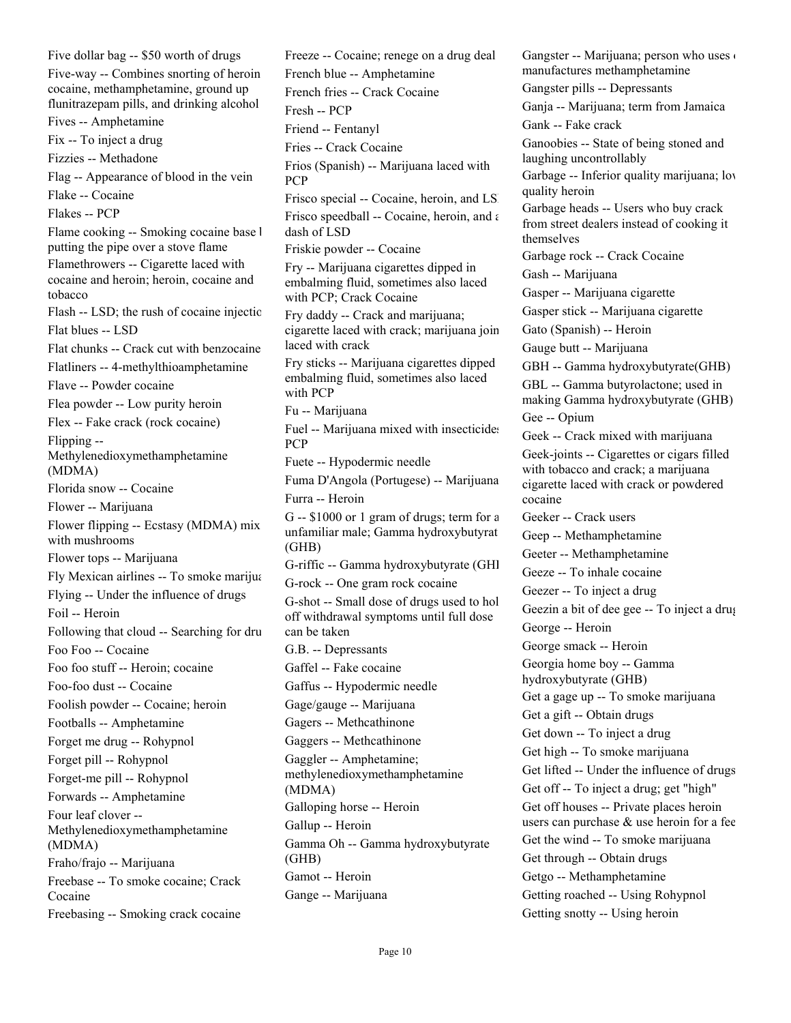Five dollar bag -- \$50 worth of drugs Five-way -- Combines snorting of heroin cocaine, methamphetamine, ground up flunitrazepam pills, and drinking alcohol Fives -- Amphetamine Fix -- To inject a drug Fizzies -- Methadone Flag -- Appearance of blood in the vein Flake -- Cocaine Flakes -- PCP Flame cooking -- Smoking cocaine base l putting the pipe over a stove flame Flamethrowers -- Cigarette laced with cocaine and heroin; heroin, cocaine and tobacco Flash -- LSD; the rush of cocaine injectic Flat blues -- LSD Flat chunks -- Crack cut with benzocaine Flatliners -- 4-methylthioamphetamine Flave -- Powder cocaine Flea powder -- Low purity heroin Flex -- Fake crack (rock cocaine) Flipping -- Methylenedioxymethamphetamine (MDMA) Florida snow -- Cocaine Flower -- Marijuana Flower flipping -- Ecstasy (MDMA) mix with mushrooms Flower tops -- Marijuana Fly Mexican airlines -- To smoke marijua Flying -- Under the influence of drugs Foil -- Heroin Following that cloud -- Searching for dru Foo Foo -- Cocaine Foo foo stuff -- Heroin; cocaine Foo-foo dust -- Cocaine Foolish powder -- Cocaine; heroin Footballs -- Amphetamine Forget me drug -- Rohypnol Forget pill -- Rohypnol Forget-me pill -- Rohypnol Forwards -- Amphetamine Four leaf clover -- Methylenedioxymethamphetamine (MDMA) Fraho/frajo -- Marijuana Freebase -- To smoke cocaine; Crack Cocaine Freebasing -- Smoking crack cocaine

Freeze -- Cocaine; renege on a drug deal French blue -- Amphetamine French fries -- Crack Cocaine Fresh -- PCP Friend -- Fentanyl Fries -- Crack Cocaine Frios (Spanish) -- Marijuana laced with PCP Frisco special -- Cocaine, heroin, and LS Frisco speedball -- Cocaine, heroin, and a dash of LSD Friskie powder -- Cocaine Fry -- Marijuana cigarettes dipped in embalming fluid, sometimes also laced with PCP; Crack Cocaine Fry daddy -- Crack and marijuana; cigarette laced with crack; marijuana join laced with crack Fry sticks -- Marijuana cigarettes dipped embalming fluid, sometimes also laced with PCP Fu -- Marijuana Fuel -- Marijuana mixed with insecticides PCP Fuete -- Hypodermic needle Fuma D'Angola (Portugese) -- Marijuana Furra -- Heroin G -- \$1000 or 1 gram of drugs; term for a unfamiliar male; Gamma hydroxybutyrat (GHB) G-riffic -- Gamma hydroxybutyrate (GHI G-rock -- One gram rock cocaine G-shot -- Small dose of drugs used to hol off withdrawal symptoms until full dose can be taken G.B. -- Depressants Gaffel -- Fake cocaine Gaffus -- Hypodermic needle Gage/gauge -- Marijuana Gagers -- Methcathinone Gaggers -- Methcathinone Gaggler -- Amphetamine; methylenedioxymethamphetamine (MDMA) Galloping horse -- Heroin Gallup -- Heroin Gamma Oh -- Gamma hydroxybutyrate (GHB) Gamot -- Heroin Gange -- Marijuana

Gangster -- Marijuana; person who uses manufactures methamphetamine Gangster pills -- Depressants Ganja -- Marijuana; term from Jamaica Gank -- Fake crack Ganoobies -- State of being stoned and laughing uncontrollably Garbage -- Inferior quality marijuana; low quality heroin Garbage heads -- Users who buy crack from street dealers instead of cooking it themselves Garbage rock -- Crack Cocaine Gash -- Marijuana Gasper -- Marijuana cigarette Gasper stick -- Marijuana cigarette Gato (Spanish) -- Heroin Gauge butt -- Marijuana GBH -- Gamma hydroxybutyrate(GHB) GBL -- Gamma butyrolactone; used in making Gamma hydroxybutyrate (GHB) Gee -- Opium Geek -- Crack mixed with marijuana Geek-joints -- Cigarettes or cigars filled with tobacco and crack; a marijuana cigarette laced with crack or powdered cocaine Geeker -- Crack users Geep -- Methamphetamine Geeter -- Methamphetamine Geeze -- To inhale cocaine Geezer -- To inject a drug Geezin a bit of dee gee -- To inject a drug George -- Heroin George smack -- Heroin Georgia home boy -- Gamma hydroxybutyrate (GHB) Get a gage up -- To smoke marijuana Get a gift -- Obtain drugs Get down -- To inject a drug Get high -- To smoke marijuana Get lifted -- Under the influence of drugs Get off -- To inject a drug; get "high" Get off houses -- Private places heroin users can purchase & use heroin for a fee Get the wind -- To smoke marijuana Get through -- Obtain drugs Getgo -- Methamphetamine Getting roached -- Using Rohypnol Getting snotty -- Using heroin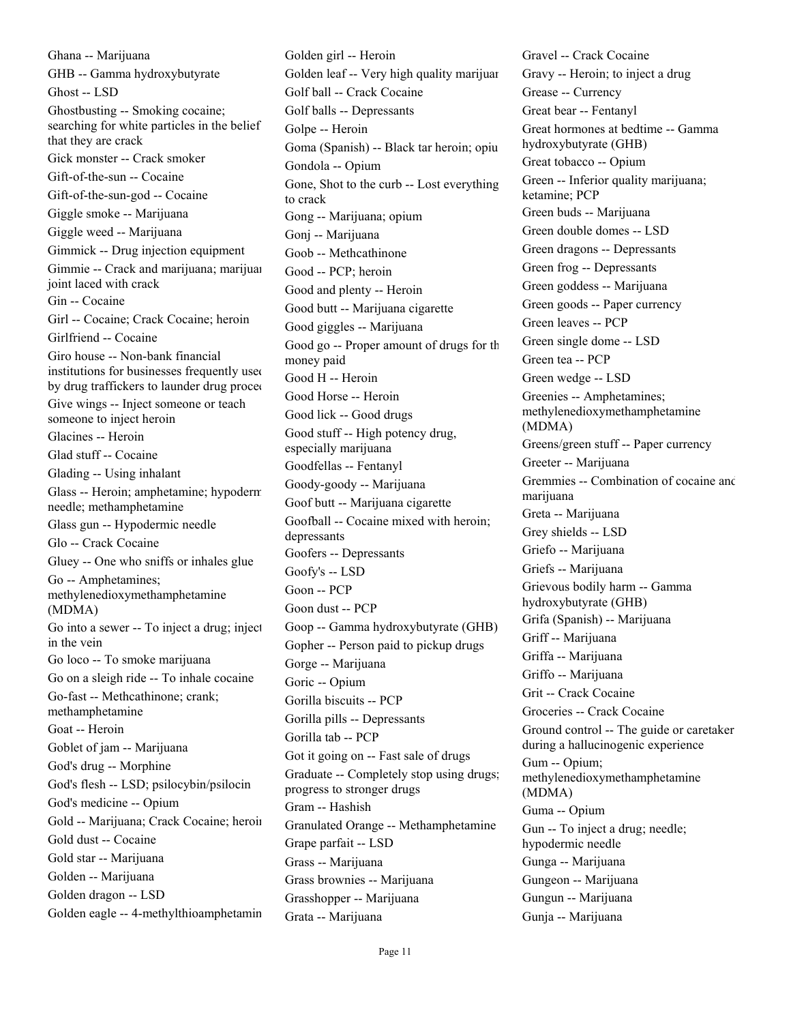Ghana -- Marijuana GHB -- Gamma hydroxybutyrate Ghost -- LSD Ghostbusting -- Smoking cocaine; searching for white particles in the belief that they are crack Gick monster -- Crack smoker Gift-of-the-sun -- Cocaine Gift-of-the-sun-god -- Cocaine Giggle smoke -- Marijuana Giggle weed -- Marijuana Gimmick -- Drug injection equipment Gimmie -- Crack and marijuana; marijuan joint laced with crack Gin -- Cocaine Girl -- Cocaine; Crack Cocaine; heroin Girlfriend -- Cocaine Giro house -- Non-bank financial institutions for businesses frequently used by drug traffickers to launder drug procee Give wings -- Inject someone or teach someone to inject heroin Glacines -- Heroin Glad stuff -- Cocaine Glading -- Using inhalant Glass -- Heroin; amphetamine; hypoderm needle; methamphetamine Glass gun -- Hypodermic needle Glo -- Crack Cocaine Gluey -- One who sniffs or inhales glue Go -- Amphetamines; methylenedioxymethamphetamine (MDMA) Go into a sewer -- To inject a drug; inject in the vein Go loco -- To smoke marijuana Go on a sleigh ride -- To inhale cocaine Go-fast -- Methcathinone; crank; methamphetamine Goat -- Heroin Goblet of jam -- Marijuana God's drug -- Morphine God's flesh -- LSD; psilocybin/psilocin God's medicine -- Opium Gold -- Marijuana; Crack Cocaine; heroin Gold dust -- Cocaine Gold star -- Marijuana Golden -- Marijuana Golden dragon -- LSD Golden eagle -- 4-methylthioamphetamin Golden girl -- Heroin Golden leaf -- Very high quality marijuan Golf ball -- Crack Cocaine Golf balls -- Depressants Golpe -- Heroin Goma (Spanish) -- Black tar heroin; opiu Gondola -- Opium Gone, Shot to the curb -- Lost everything to crack Gong -- Marijuana; opium Gonj -- Marijuana Goob -- Methcathinone Good -- PCP; heroin Good and plenty -- Heroin Good butt -- Marijuana cigarette Good giggles -- Marijuana Good go -- Proper amount of drugs for th money paid Good H -- Heroin Good Horse -- Heroin Good lick -- Good drugs Good stuff -- High potency drug, especially marijuana Goodfellas -- Fentanyl Goody-goody -- Marijuana Goof butt -- Marijuana cigarette Goofball -- Cocaine mixed with heroin; depressants Goofers -- Depressants Goofy's -- LSD Goon -- PCP Goon dust -- PCP Goop -- Gamma hydroxybutyrate (GHB) Gopher -- Person paid to pickup drugs Gorge -- Marijuana Goric -- Opium Gorilla biscuits -- PCP Gorilla pills -- Depressants Gorilla tab -- PCP Got it going on -- Fast sale of drugs Graduate -- Completely stop using drugs; progress to stronger drugs Gram -- Hashish Granulated Orange -- Methamphetamine Grape parfait -- LSD Grass -- Marijuana Grass brownies -- Marijuana Grasshopper -- Marijuana Grata -- Marijuana

Gravel -- Crack Cocaine Gravy -- Heroin; to inject a drug Grease -- Currency Great bear -- Fentanyl Great hormones at bedtime -- Gamma hydroxybutyrate (GHB) Great tobacco -- Opium Green -- Inferior quality marijuana; ketamine; PCP Green buds -- Marijuana Green double domes -- LSD Green dragons -- Depressants Green frog -- Depressants Green goddess -- Marijuana Green goods -- Paper currency Green leaves -- PCP Green single dome -- LSD Green tea -- PCP Green wedge -- LSD Greenies -- Amphetamines; methylenedioxymethamphetamine (MDMA) Greens/green stuff -- Paper currency Greeter -- Marijuana Gremmies -- Combination of cocaine and marijuana Greta -- Marijuana Grey shields -- LSD Griefo -- Marijuana Griefs -- Marijuana Grievous bodily harm -- Gamma hydroxybutyrate (GHB) Grifa (Spanish) -- Marijuana Griff -- Marijuana Griffa -- Marijuana Griffo -- Marijuana Grit -- Crack Cocaine Groceries -- Crack Cocaine Ground control -- The guide or caretaker during a hallucinogenic experience Gum -- Opium; methylenedioxymethamphetamine (MDMA) Guma -- Opium Gun -- To inject a drug; needle; hypodermic needle Gunga -- Marijuana Gungeon -- Marijuana Gungun -- Marijuana Gunja -- Marijuana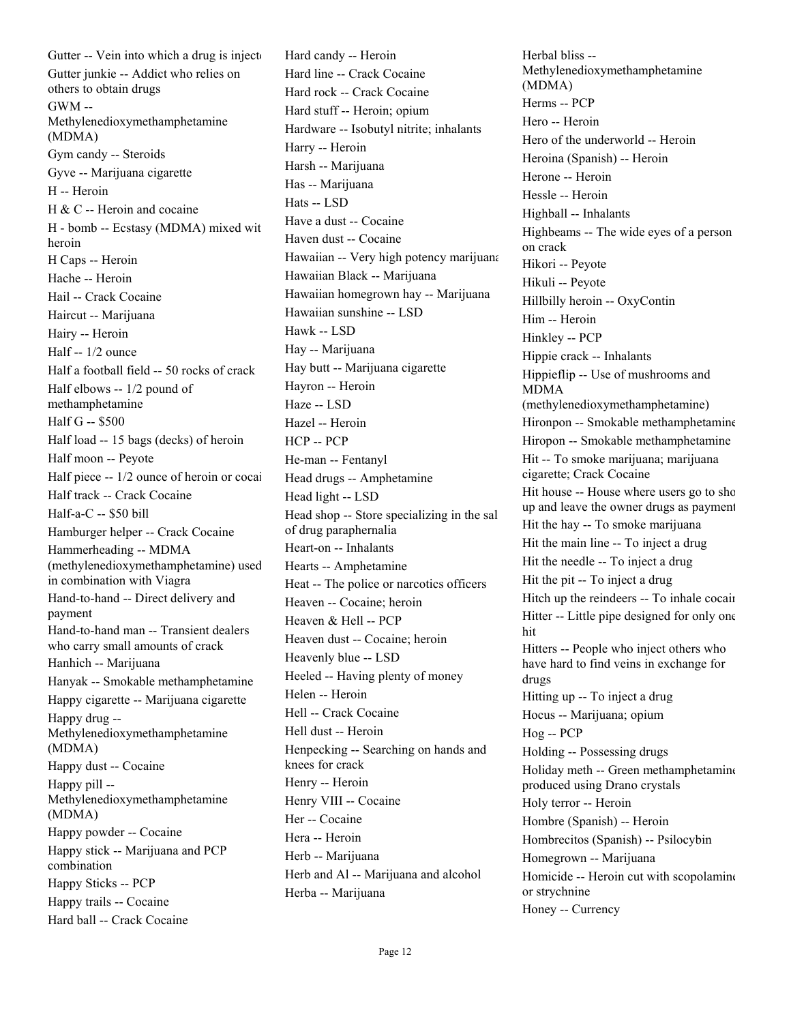Gutter -- Vein into which a drug is inject Gutter junkie -- Addict who relies on others to obtain drugs GWM -- Methylenedioxymethamphetamine (MDMA) Gym candy -- Steroids Gyve -- Marijuana cigarette H -- Heroin H & C -- Heroin and cocaine H - bomb -- Ecstasy (MDMA) mixed wit heroin H Caps -- Heroin Hache -- Heroin Hail -- Crack Cocaine Haircut -- Marijuana Hairy -- Heroin Half -- 1/2 ounce Half a football field -- 50 rocks of crack Half elbows -- 1/2 pound of methamphetamine Half G -- \$500 Half load -- 15 bags (decks) of heroin Half moon -- Peyote Half piece -- 1/2 ounce of heroin or cocai Half track -- Crack Cocaine Half-a-C -- \$50 bill Hamburger helper -- Crack Cocaine Hammerheading -- MDMA (methylenedioxymethamphetamine) used in combination with Viagra Hand-to-hand -- Direct delivery and payment Hand-to-hand man -- Transient dealers who carry small amounts of crack Hanhich -- Marijuana Hanyak -- Smokable methamphetamine Happy cigarette -- Marijuana cigarette Happy drug -- Methylenedioxymethamphetamine (MDMA) Happy dust -- Cocaine Happy pill -- Methylenedioxymethamphetamine (MDMA) Happy powder -- Cocaine Happy stick -- Marijuana and PCP combination Happy Sticks -- PCP Happy trails -- Cocaine Hard ball -- Crack Cocaine

Hard candy -- Heroin Hard line -- Crack Cocaine Hard rock -- Crack Cocaine Hard stuff -- Heroin; opium Hardware -- Isobutyl nitrite; inhalants Harry -- Heroin Harsh -- Marijuana Has -- Marijuana Hats -- LSD Have a dust -- Cocaine Haven dust -- Cocaine Hawaiian -- Very high potency marijuana Hawaiian Black -- Marijuana Hawaiian homegrown hay -- Marijuana Hawaiian sunshine -- LSD Hawk -- LSD Hay -- Marijuana Hay butt -- Marijuana cigarette Hayron -- Heroin Haze -- LSD Hazel -- Heroin HCP -- PCP He-man -- Fentanyl Head drugs -- Amphetamine Head light -- LSD Head shop -- Store specializing in the sal of drug paraphernalia Heart-on -- Inhalants Hearts -- Amphetamine Heat -- The police or narcotics officers Heaven -- Cocaine; heroin Heaven & Hell -- PCP Heaven dust -- Cocaine; heroin Heavenly blue -- LSD Heeled -- Having plenty of money Helen -- Heroin Hell -- Crack Cocaine Hell dust -- Heroin Henpecking -- Searching on hands and knees for crack Henry -- Heroin Henry VIII -- Cocaine Her -- Cocaine Hera -- Heroin Herb -- Marijuana Herb and Al -- Marijuana and alcohol Herba -- Marijuana

Herbal bliss -- Methylenedioxymethamphetamine (MDMA) Herms -- PCP Hero -- Heroin Hero of the underworld -- Heroin Heroina (Spanish) -- Heroin Herone -- Heroin Hessle -- Heroin Highball -- Inhalants Highbeams -- The wide eyes of a person on crack Hikori -- Peyote Hikuli -- Peyote Hillbilly heroin -- OxyContin Him -- Heroin Hinkley -- PCP Hippie crack -- Inhalants Hippieflip -- Use of mushrooms and MDMA (methylenedioxymethamphetamine) Hironpon -- Smokable methamphetamine Hiropon -- Smokable methamphetamine Hit -- To smoke marijuana; marijuana cigarette; Crack Cocaine Hit house -- House where users go to sho up and leave the owner drugs as payment Hit the hay -- To smoke marijuana Hit the main line -- To inject a drug Hit the needle -- To inject a drug Hit the pit -- To inject a drug Hitch up the reindeers -- To inhale cocain Hitter -- Little pipe designed for only one hit Hitters -- People who inject others who have hard to find veins in exchange for drugs Hitting up -- To inject a drug Hocus -- Marijuana; opium Hog -- PCP Holding -- Possessing drugs Holiday meth -- Green methamphetamine produced using Drano crystals Holy terror -- Heroin Hombre (Spanish) -- Heroin Hombrecitos (Spanish) -- Psilocybin Homegrown -- Marijuana Homicide -- Heroin cut with scopolamine or strychnine Honey -- Currency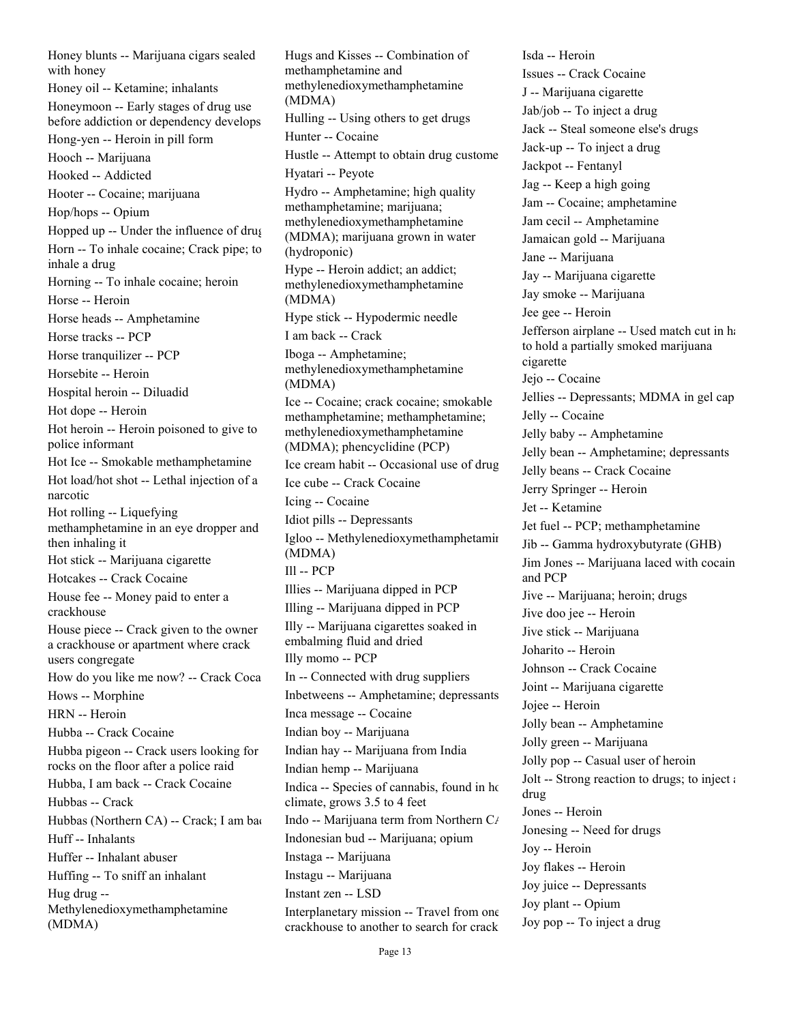Honey blunts -- Marijuana cigars sealed with honey Honey oil -- Ketamine; inhalants Honeymoon -- Early stages of drug use before addiction or dependency develops Hong-yen -- Heroin in pill form Hooch -- Marijuana Hooked -- Addicted Hooter -- Cocaine; marijuana Hop/hops -- Opium Hopped up -- Under the influence of drug-Horn -- To inhale cocaine; Crack pipe; to inhale a drug Horning -- To inhale cocaine; heroin Horse -- Heroin Horse heads -- Amphetamine Horse tracks -- PCP Horse tranquilizer -- PCP Horsebite -- Heroin Hospital heroin -- Diluadid Hot dope -- Heroin Hot heroin -- Heroin poisoned to give to police informant Hot Ice -- Smokable methamphetamine Hot load/hot shot -- Lethal injection of a narcotic Hot rolling -- Liquefying methamphetamine in an eye dropper and then inhaling it Hot stick -- Marijuana cigarette Hotcakes -- Crack Cocaine House fee -- Money paid to enter a crackhouse House piece -- Crack given to the owner a crackhouse or apartment where crack users congregate How do you like me now? -- Crack Coca Hows -- Morphine HRN -- Heroin Hubba -- Crack Cocaine Hubba pigeon -- Crack users looking for rocks on the floor after a police raid Hubba, I am back -- Crack Cocaine Hubbas -- Crack Hubbas (Northern CA) -- Crack; I am bac Huff -- Inhalants Huffer -- Inhalant abuser Huffing -- To sniff an inhalant Hug drug -- Methylenedioxymethamphetamine (MDMA)

Hugs and Kisses -- Combination of methamphetamine and methylenedioxymethamphetamine (MDMA) Hulling -- Using others to get drugs Hunter -- Cocaine Hustle -- Attempt to obtain drug custome Hyatari -- Peyote Hydro -- Amphetamine; high quality methamphetamine; marijuana; methylenedioxymethamphetamine (MDMA); marijuana grown in water (hydroponic) Hype -- Heroin addict; an addict; methylenedioxymethamphetamine (MDMA) Hype stick -- Hypodermic needle I am back -- Crack Iboga -- Amphetamine; methylenedioxymethamphetamine (MDMA) Ice -- Cocaine; crack cocaine; smokable methamphetamine; methamphetamine; methylenedioxymethamphetamine (MDMA); phencyclidine (PCP) Ice cream habit -- Occasional use of drug Ice cube -- Crack Cocaine Icing -- Cocaine Idiot pills -- Depressants Igloo -- Methylenedioxymethamphetamin (MDMA) Ill -- PCP Illies -- Marijuana dipped in PCP Illing -- Marijuana dipped in PCP Illy -- Marijuana cigarettes soaked in embalming fluid and dried Illy momo -- PCP In -- Connected with drug suppliers Inbetweens -- Amphetamine; depressants Inca message -- Cocaine Indian boy -- Marijuana Indian hay -- Marijuana from India Indian hemp -- Marijuana Indica -- Species of cannabis, found in ho climate, grows 3.5 to 4 feet Indo -- Marijuana term from Northern  $C$ Indonesian bud -- Marijuana; opium Instaga -- Marijuana Instagu -- Marijuana Instant zen -- LSD Interplanetary mission -- Travel from one crackhouse to another to search for crack Isda -- Heroin Issues -- Crack Cocaine J -- Marijuana cigarette Jab/job -- To inject a drug Jack -- Steal someone else's drugs Jack-up -- To inject a drug Jackpot -- Fentanyl Jag -- Keep a high going Jam -- Cocaine; amphetamine Jam cecil -- Amphetamine Jamaican gold -- Marijuana Jane -- Marijuana Jay -- Marijuana cigarette Jay smoke -- Marijuana Jee gee -- Heroin Jefferson airplane -- Used match cut in ha to hold a partially smoked marijuana cigarette Jejo -- Cocaine Jellies -- Depressants; MDMA in gel cap Jelly -- Cocaine Jelly baby -- Amphetamine Jelly bean -- Amphetamine; depressants Jelly beans -- Crack Cocaine Jerry Springer -- Heroin Jet -- Ketamine Jet fuel -- PCP; methamphetamine Jib -- Gamma hydroxybutyrate (GHB) Jim Jones -- Marijuana laced with cocain and PCP Jive -- Marijuana; heroin; drugs Jive doo jee -- Heroin Jive stick -- Marijuana Joharito -- Heroin Johnson -- Crack Cocaine Joint -- Marijuana cigarette Jojee -- Heroin Jolly bean -- Amphetamine Jolly green -- Marijuana Jolly pop -- Casual user of heroin Jolt -- Strong reaction to drugs; to inject a drug Jones -- Heroin Jonesing -- Need for drugs Joy -- Heroin Joy flakes -- Heroin Joy juice -- Depressants Joy plant -- Opium Joy pop -- To inject a drug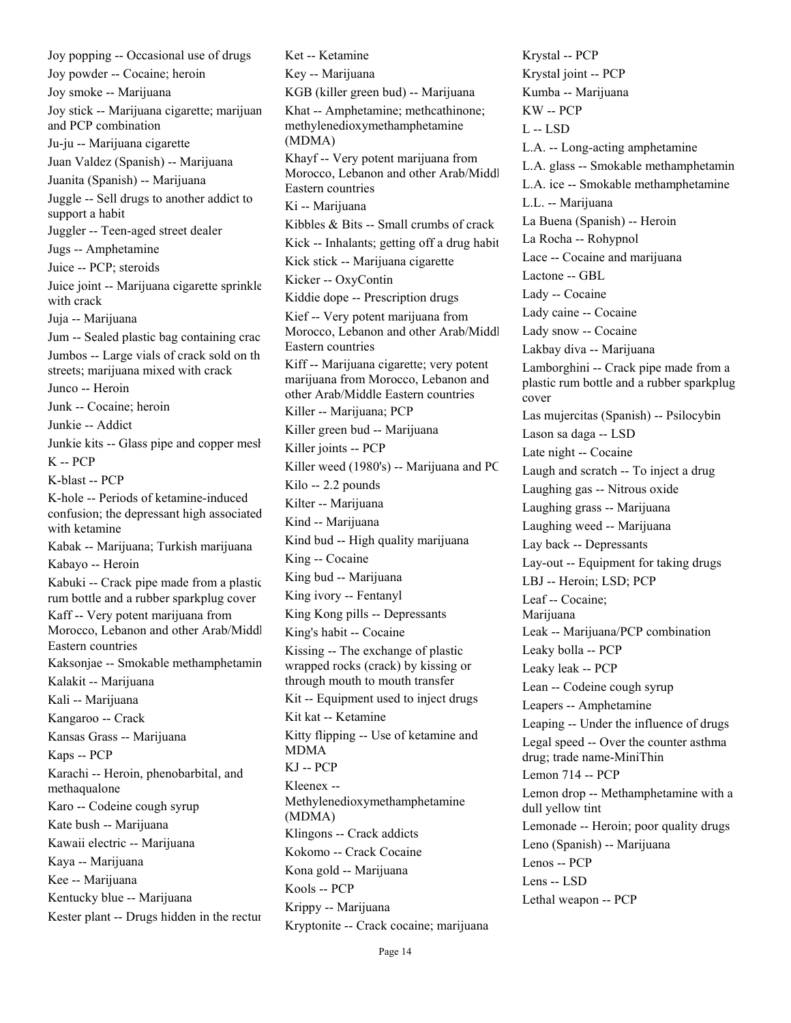Joy popping -- Occasional use of drugs Joy powder -- Cocaine; heroin Joy smoke -- Marijuana Joy stick -- Marijuana cigarette; marijuan and PCP combination Ju-ju -- Marijuana cigarette Juan Valdez (Spanish) -- Marijuana Juanita (Spanish) -- Marijuana Juggle -- Sell drugs to another addict to support a habit Juggler -- Teen-aged street dealer Jugs -- Amphetamine Juice -- PCP; steroids Juice joint -- Marijuana cigarette sprinkle with crack Juja -- Marijuana Jum -- Sealed plastic bag containing crac Jumbos -- Large vials of crack sold on th streets; marijuana mixed with crack Junco -- Heroin Junk -- Cocaine; heroin Junkie -- Addict Junkie kits -- Glass pipe and copper mesh K -- PCP K-blast -- PCP K-hole -- Periods of ketamine-induced confusion; the depressant high associated with ketamine Kabak -- Marijuana; Turkish marijuana Kabayo -- Heroin Kabuki -- Crack pipe made from a plastic rum bottle and a rubber sparkplug cover Kaff -- Very potent marijuana from Morocco, Lebanon and other Arab/Middl Eastern countries Kaksonjae -- Smokable methamphetamin Kalakit -- Marijuana Kali -- Marijuana Kangaroo -- Crack Kansas Grass -- Marijuana Kaps -- PCP Karachi -- Heroin, phenobarbital, and methaqualone Karo -- Codeine cough syrup Kate bush -- Marijuana Kawaii electric -- Marijuana Kaya -- Marijuana Kee -- Marijuana Kentucky blue -- Marijuana Kester plant -- Drugs hidden in the rectur Ket -- Ketamine Key -- Marijuana KGB (killer green bud) -- Marijuana Khat -- Amphetamine; methcathinone; methylenedioxymethamphetamine (MDMA) Khayf -- Very potent marijuana from Morocco, Lebanon and other Arab/Middl Eastern countries Ki -- Marijuana Kibbles & Bits -- Small crumbs of crack Kick -- Inhalants; getting off a drug habit Kick stick -- Marijuana cigarette Kicker -- OxyContin Kiddie dope -- Prescription drugs Kief -- Very potent marijuana from Morocco, Lebanon and other Arab/Middl Eastern countries Kiff -- Marijuana cigarette; very potent marijuana from Morocco, Lebanon and other Arab/Middle Eastern countries Killer -- Marijuana; PCP Killer green bud -- Marijuana Killer joints -- PCP Killer weed (1980's) -- Marijuana and PC Kilo -- 2.2 pounds Kilter -- Marijuana Kind -- Marijuana Kind bud -- High quality marijuana King -- Cocaine King bud -- Marijuana King ivory -- Fentanyl King Kong pills -- Depressants King's habit -- Cocaine Kissing -- The exchange of plastic wrapped rocks (crack) by kissing or through mouth to mouth transfer Kit -- Equipment used to inject drugs Kit kat -- Ketamine Kitty flipping -- Use of ketamine and MDMA KJ -- PCP Kleenex -- Methylenedioxymethamphetamine (MDMA) Klingons -- Crack addicts Kokomo -- Crack Cocaine Kona gold -- Marijuana Kools -- PCP Krippy -- Marijuana Kryptonite -- Crack cocaine; marijuana

Krystal -- PCP Krystal joint -- PCP Kumba -- Marijuana KW -- PCP L -- LSD L.A. -- Long-acting amphetamine L.A. glass -- Smokable methamphetamin L.A. ice -- Smokable methamphetamine L.L. -- Marijuana La Buena (Spanish) -- Heroin La Rocha -- Rohypnol Lace -- Cocaine and marijuana Lactone -- GBL Lady -- Cocaine Lady caine -- Cocaine Lady snow -- Cocaine Lakbay diva -- Marijuana Lamborghini -- Crack pipe made from a plastic rum bottle and a rubber sparkplug cover Las mujercitas (Spanish) -- Psilocybin Lason sa daga -- LSD Late night -- Cocaine Laugh and scratch -- To inject a drug Laughing gas -- Nitrous oxide Laughing grass -- Marijuana Laughing weed -- Marijuana Lay back -- Depressants Lay-out -- Equipment for taking drugs LBJ -- Heroin; LSD; PCP Leaf -- Cocaine; Marijuana Leak -- Marijuana/PCP combination Leaky bolla -- PCP Leaky leak -- PCP Lean -- Codeine cough syrup Leapers -- Amphetamine Leaping -- Under the influence of drugs Legal speed -- Over the counter asthma drug; trade name-MiniThin Lemon 714 -- PCP Lemon drop -- Methamphetamine with a dull yellow tint Lemonade -- Heroin; poor quality drugs Leno (Spanish) -- Marijuana Lenos -- PCP Lens -- LSD Lethal weapon -- PCP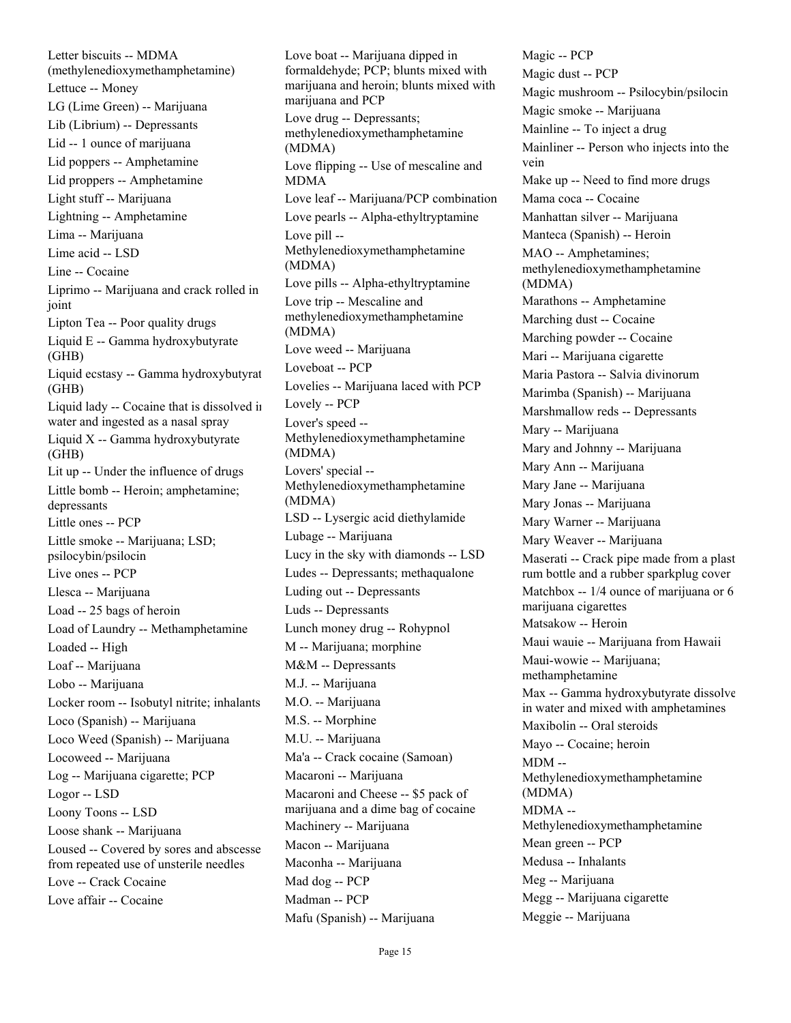Letter biscuits -- MDMA (methylenedioxymethamphetamine) Lettuce -- Money LG (Lime Green) -- Marijuana Lib (Librium) -- Depressants Lid -- 1 ounce of marijuana Lid poppers -- Amphetamine Lid proppers -- Amphetamine Light stuff -- Marijuana Lightning -- Amphetamine Lima -- Marijuana Lime acid -- LSD Line -- Cocaine Liprimo -- Marijuana and crack rolled in joint Lipton Tea -- Poor quality drugs Liquid E -- Gamma hydroxybutyrate (GHB) Liquid ecstasy -- Gamma hydroxybutyrat (GHB) Liquid lady -- Cocaine that is dissolved in water and ingested as a nasal spray Liquid X -- Gamma hydroxybutyrate (GHB) Lit up -- Under the influence of drugs Little bomb -- Heroin; amphetamine; depressants Little ones -- PCP Little smoke -- Marijuana; LSD; psilocybin/psilocin Live ones -- PCP Llesca -- Marijuana Load -- 25 bags of heroin Load of Laundry -- Methamphetamine Loaded -- High Loaf -- Marijuana Lobo -- Marijuana Locker room -- Isobutyl nitrite; inhalants Loco (Spanish) -- Marijuana Loco Weed (Spanish) -- Marijuana Locoweed -- Marijuana Log -- Marijuana cigarette; PCP Logor -- LSD Loony Toons -- LSD Loose shank -- Marijuana Loused -- Covered by sores and abscesse from repeated use of unsterile needles Love -- Crack Cocaine Love affair -- Cocaine

Love boat -- Marijuana dipped in formaldehyde; PCP; blunts mixed with marijuana and heroin; blunts mixed with marijuana and PCP Love drug -- Depressants; methylenedioxymethamphetamine (MDMA) Love flipping -- Use of mescaline and MDMA Love leaf -- Marijuana/PCP combination Love pearls -- Alpha-ethyltryptamine Love pill -- Methylenedioxymethamphetamine (MDMA) Love pills -- Alpha-ethyltryptamine Love trip -- Mescaline and methylenedioxymethamphetamine (MDMA) Love weed -- Marijuana Loveboat -- PCP Lovelies -- Marijuana laced with PCP Lovely -- PCP Lover's speed -- Methylenedioxymethamphetamine (MDMA) Lovers' special -- Methylenedioxymethamphetamine (MDMA) LSD -- Lysergic acid diethylamide Lubage -- Marijuana Lucy in the sky with diamonds -- LSD Ludes -- Depressants; methaqualone Luding out -- Depressants Luds -- Depressants Lunch money drug -- Rohypnol M -- Marijuana; morphine M&M -- Depressants M.J. -- Marijuana M.O. -- Marijuana M.S. -- Morphine M.U. -- Marijuana Ma'a -- Crack cocaine (Samoan) Macaroni -- Marijuana Macaroni and Cheese -- \$5 pack of marijuana and a dime bag of cocaine Machinery -- Marijuana Macon -- Marijuana Maconha -- Marijuana Mad dog -- PCP Madman -- PCP Mafu (Spanish) -- Marijuana

Magic -- PCP Magic dust -- PCP Magic mushroom -- Psilocybin/psilocin Magic smoke -- Marijuana Mainline -- To inject a drug Mainliner -- Person who injects into the vein Make up -- Need to find more drugs Mama coca -- Cocaine Manhattan silver -- Marijuana Manteca (Spanish) -- Heroin MAO -- Amphetamines; methylenedioxymethamphetamine (MDMA) Marathons -- Amphetamine Marching dust -- Cocaine Marching powder -- Cocaine Mari -- Marijuana cigarette Maria Pastora -- Salvia divinorum Marimba (Spanish) -- Marijuana Marshmallow reds -- Depressants Mary -- Marijuana Mary and Johnny -- Marijuana Mary Ann -- Marijuana Mary Jane -- Marijuana Mary Jonas -- Marijuana Mary Warner -- Marijuana Mary Weaver -- Marijuana Maserati -- Crack pipe made from a plast rum bottle and a rubber sparkplug cover Matchbox -- 1/4 ounce of marijuana or 6 marijuana cigarettes Matsakow -- Heroin Maui wauie -- Marijuana from Hawaii Maui-wowie -- Marijuana; methamphetamine Max -- Gamma hydroxybutyrate dissolve in water and mixed with amphetamines Maxibolin -- Oral steroids Mayo -- Cocaine; heroin MDM -- Methylenedioxymethamphetamine (MDMA) MDMA -- Methylenedioxymethamphetamine Mean green -- PCP Medusa -- Inhalants Meg -- Marijuana Megg -- Marijuana cigarette Meggie -- Marijuana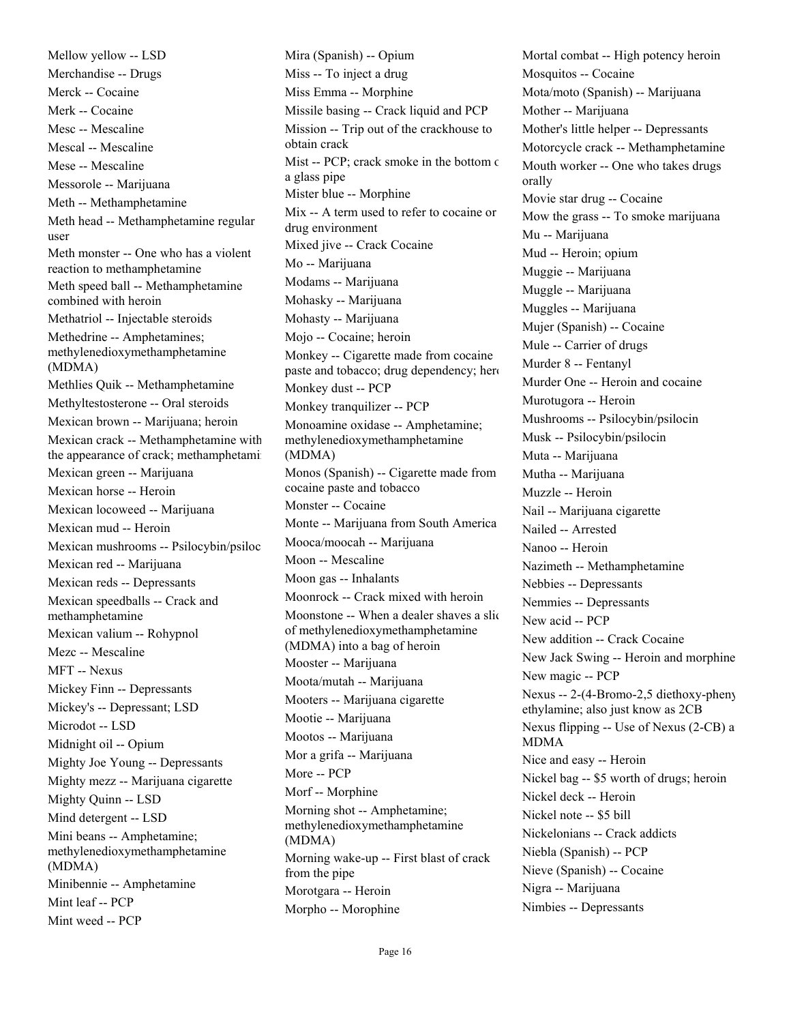Mellow yellow -- LSD Merchandise -- Drugs Merck -- Cocaine Merk -- Cocaine Mesc -- Mescaline Mescal -- Mescaline Mese -- Mescaline Messorole -- Marijuana Meth -- Methamphetamine Meth head -- Methamphetamine regular user Meth monster -- One who has a violent reaction to methamphetamine Meth speed ball -- Methamphetamine combined with heroin Methatriol -- Injectable steroids Methedrine -- Amphetamines; methylenedioxymethamphetamine (MDMA) Methlies Quik -- Methamphetamine Methyltestosterone -- Oral steroids Mexican brown -- Marijuana; heroin Mexican crack -- Methamphetamine with the appearance of crack; methamphetami Mexican green -- Marijuana Mexican horse -- Heroin Mexican locoweed -- Marijuana Mexican mud -- Heroin Mexican mushrooms -- Psilocybin/psiloc Mexican red -- Marijuana Mexican reds -- Depressants Mexican speedballs -- Crack and methamphetamine Mexican valium -- Rohypnol Mezc -- Mescaline MFT -- Nexus Mickey Finn -- Depressants Mickey's -- Depressant; LSD Microdot -- LSD Midnight oil -- Opium Mighty Joe Young -- Depressants Mighty mezz -- Marijuana cigarette Mighty Quinn -- LSD Mind detergent -- LSD Mini beans -- Amphetamine; methylenedioxymethamphetamine (MDMA) Minibennie -- Amphetamine Mint leaf -- PCP Mint weed -- PCP

Mira (Spanish) -- Opium Miss -- To inject a drug Miss Emma -- Morphine Missile basing -- Crack liquid and PCP Mission -- Trip out of the crackhouse to obtain crack Mist  $-$  PCP; crack smoke in the bottom  $\epsilon$ a glass pipe Mister blue -- Morphine Mix -- A term used to refer to cocaine or drug environment Mixed jive -- Crack Cocaine Mo -- Marijuana Modams -- Marijuana Mohasky -- Marijuana Mohasty -- Marijuana Mojo -- Cocaine; heroin Monkey -- Cigarette made from cocaine paste and tobacco; drug dependency; hero Monkey dust -- PCP Monkey tranquilizer -- PCP Monoamine oxidase -- Amphetamine; methylenedioxymethamphetamine (MDMA) Monos (Spanish) -- Cigarette made from cocaine paste and tobacco Monster -- Cocaine Monte -- Marijuana from South America Mooca/moocah -- Marijuana Moon -- Mescaline Moon gas -- Inhalants Moonrock -- Crack mixed with heroin Moonstone -- When a dealer shaves a slic of methylenedioxymethamphetamine (MDMA) into a bag of heroin Mooster -- Marijuana Moota/mutah -- Marijuana Mooters -- Marijuana cigarette Mootie -- Marijuana Mootos -- Marijuana Mor a grifa -- Marijuana More -- PCP Morf -- Morphine Morning shot -- Amphetamine; methylenedioxymethamphetamine (MDMA) Morning wake-up -- First blast of crack from the pipe Morotgara -- Heroin Morpho -- Morophine

Mortal combat -- High potency heroin Mosquitos -- Cocaine Mota/moto (Spanish) -- Marijuana Mother -- Marijuana Mother's little helper -- Depressants Motorcycle crack -- Methamphetamine Mouth worker -- One who takes drugs orally Movie star drug -- Cocaine Mow the grass -- To smoke marijuana Mu -- Marijuana Mud -- Heroin; opium Muggie -- Marijuana Muggle -- Marijuana Muggles -- Marijuana Mujer (Spanish) -- Cocaine Mule -- Carrier of drugs Murder 8 -- Fentanyl Murder One -- Heroin and cocaine Murotugora -- Heroin Mushrooms -- Psilocybin/psilocin Musk -- Psilocybin/psilocin Muta -- Marijuana Mutha -- Marijuana Muzzle -- Heroin Nail -- Marijuana cigarette Nailed -- Arrested Nanoo -- Heroin Nazimeth -- Methamphetamine Nebbies -- Depressants Nemmies -- Depressants New acid -- PCP New addition -- Crack Cocaine New Jack Swing -- Heroin and morphine New magic -- PCP Nexus -- 2-(4-Bromo-2,5 diethoxy-pheny ethylamine; also just know as 2CB Nexus flipping -- Use of Nexus (2-CB) an MDMA Nice and easy -- Heroin Nickel bag -- \$5 worth of drugs; heroin Nickel deck -- Heroin Nickel note -- \$5 bill Nickelonians -- Crack addicts Niebla (Spanish) -- PCP Nieve (Spanish) -- Cocaine Nigra -- Marijuana Nimbies -- Depressants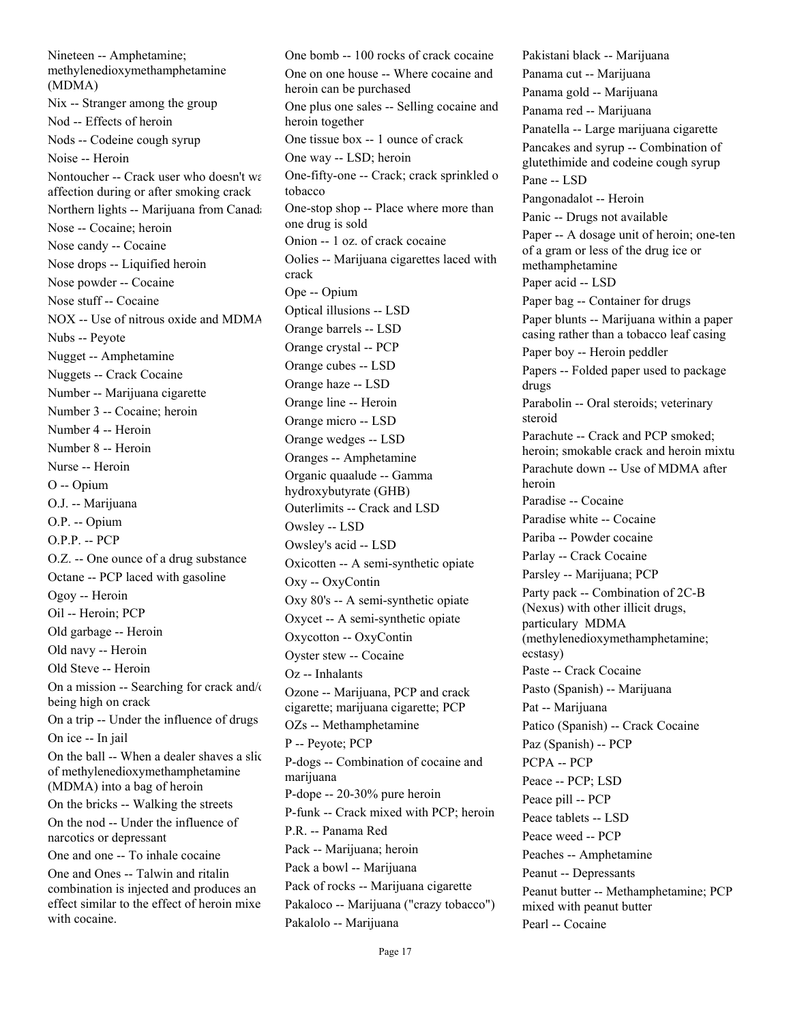Nineteen -- Amphetamine; methylenedioxymethamphetamine (MDMA) Nix -- Stranger among the group Nod -- Effects of heroin Nods -- Codeine cough syrup Noise -- Heroin Nontoucher -- Crack user who doesn't wa affection during or after smoking crack Northern lights -- Marijuana from Canada Nose -- Cocaine; heroin Nose candy -- Cocaine Nose drops -- Liquified heroin Nose powder -- Cocaine Nose stuff -- Cocaine NOX -- Use of nitrous oxide and MDMA Nubs -- Peyote Nugget -- Amphetamine Nuggets -- Crack Cocaine Number -- Marijuana cigarette Number 3 -- Cocaine; heroin Number 4 -- Heroin Number 8 -- Heroin Nurse -- Heroin O -- Opium O.J. -- Marijuana O.P. -- Opium O.P.P. -- PCP O.Z. -- One ounce of a drug substance Octane -- PCP laced with gasoline Ogoy -- Heroin Oil -- Heroin; PCP Old garbage -- Heroin Old navy -- Heroin Old Steve -- Heroin On a mission -- Searching for crack and/ $\alpha$ being high on crack On a trip -- Under the influence of drugs On ice -- In jail On the ball -- When a dealer shaves a slic of methylenedioxymethamphetamine (MDMA) into a bag of heroin On the bricks -- Walking the streets On the nod -- Under the influence of narcotics or depressant One and one -- To inhale cocaine One and Ones -- Talwin and ritalin combination is injected and produces an effect similar to the effect of heroin mixe with cocaine.

One bomb -- 100 rocks of crack cocaine One on one house -- Where cocaine and heroin can be purchased One plus one sales -- Selling cocaine and heroin together One tissue box -- 1 ounce of crack One way -- LSD; heroin One-fifty-one -- Crack; crack sprinkled o tobacco One-stop shop -- Place where more than one drug is sold Onion -- 1 oz. of crack cocaine Oolies -- Marijuana cigarettes laced with crack Ope -- Opium Optical illusions -- LSD Orange barrels -- LSD Orange crystal -- PCP Orange cubes -- LSD Orange haze -- LSD Orange line -- Heroin Orange micro -- LSD Orange wedges -- LSD Oranges -- Amphetamine Organic quaalude -- Gamma hydroxybutyrate (GHB) Outerlimits -- Crack and LSD Owsley -- LSD Owsley's acid -- LSD Oxicotten -- A semi-synthetic opiate Oxy -- OxyContin Oxy 80's -- A semi-synthetic opiate Oxycet -- A semi-synthetic opiate Oxycotton -- OxyContin Oyster stew -- Cocaine Oz -- Inhalants Ozone -- Marijuana, PCP and crack cigarette; marijuana cigarette; PCP OZs -- Methamphetamine P -- Peyote; PCP P-dogs -- Combination of cocaine and marijuana P-dope -- 20-30% pure heroin P-funk -- Crack mixed with PCP; heroin P.R. -- Panama Red Pack -- Marijuana; heroin Pack a bowl -- Marijuana Pack of rocks -- Marijuana cigarette Pakaloco -- Marijuana ("crazy tobacco") Pakalolo -- Marijuana

Pakistani black -- Marijuana Panama cut -- Marijuana Panama gold -- Marijuana Panama red -- Marijuana Panatella -- Large marijuana cigarette Pancakes and syrup -- Combination of glutethimide and codeine cough syrup Pane -- LSD Pangonadalot -- Heroin Panic -- Drugs not available Paper -- A dosage unit of heroin; one-ten of a gram or less of the drug ice or methamphetamine Paper acid -- LSD Paper bag -- Container for drugs Paper blunts -- Marijuana within a paper casing rather than a tobacco leaf casing Paper boy -- Heroin peddler Papers -- Folded paper used to package drugs Parabolin -- Oral steroids; veterinary steroid Parachute -- Crack and PCP smoked; heroin; smokable crack and heroin mixtur Parachute down -- Use of MDMA after heroin Paradise -- Cocaine Paradise white -- Cocaine Pariba -- Powder cocaine Parlay -- Crack Cocaine Parsley -- Marijuana; PCP Party pack -- Combination of 2C-B (Nexus) with other illicit drugs, particulary MDMA (methylenedioxymethamphetamine; ecstasy) Paste -- Crack Cocaine Pasto (Spanish) -- Marijuana Pat -- Marijuana Patico (Spanish) -- Crack Cocaine Paz (Spanish) -- PCP PCPA -- PCP Peace -- PCP; LSD Peace pill -- PCP Peace tablets -- LSD Peace weed -- PCP Peaches -- Amphetamine Peanut -- Depressants Peanut butter -- Methamphetamine; PCP mixed with peanut butter Pearl -- Cocaine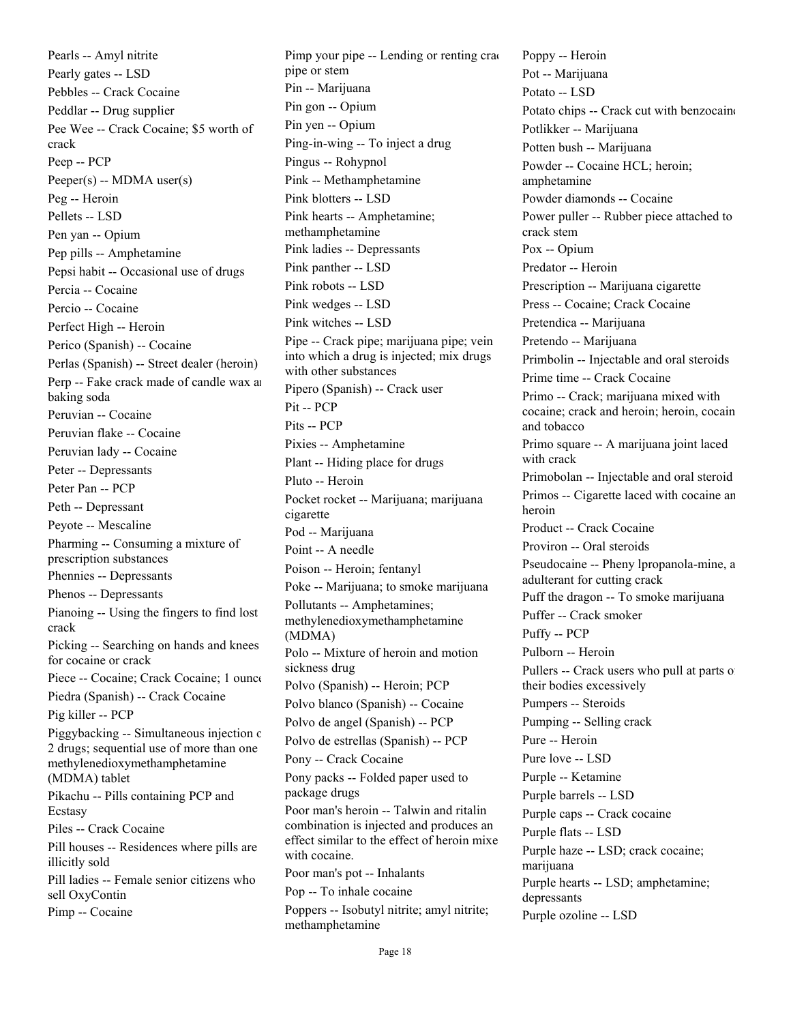Pearls -- Amyl nitrite Pearly gates -- LSD Pebbles -- Crack Cocaine Peddlar -- Drug supplier Pee Wee -- Crack Cocaine; \$5 worth of crack Peep -- PCP Peeper(s) -- MDMA user(s) Peg -- Heroin Pellets -- LSD Pen yan -- Opium Pep pills -- Amphetamine Pepsi habit -- Occasional use of drugs Percia -- Cocaine Percio -- Cocaine Perfect High -- Heroin Perico (Spanish) -- Cocaine Perlas (Spanish) -- Street dealer (heroin) Perp -- Fake crack made of candle wax and baking soda Peruvian -- Cocaine Peruvian flake -- Cocaine Peruvian lady -- Cocaine Peter -- Depressants Peter Pan -- PCP Peth -- Depressant Peyote -- Mescaline Pharming -- Consuming a mixture of prescription substances Phennies -- Depressants Phenos -- Depressants Pianoing -- Using the fingers to find lost crack Picking -- Searching on hands and knees for cocaine or crack Piece -- Cocaine; Crack Cocaine; 1 ounce Piedra (Spanish) -- Crack Cocaine Pig killer -- PCP Piggybacking -- Simultaneous injection c 2 drugs; sequential use of more than one methylenedioxymethamphetamine (MDMA) tablet Pikachu -- Pills containing PCP and Ecstasy Piles -- Crack Cocaine Pill houses -- Residences where pills are illicitly sold Pill ladies -- Female senior citizens who sell OxyContin Pimp -- Cocaine

Pimp your pipe -- Lending or renting cra pipe or stem Pin -- Marijuana Pin gon -- Opium Pin yen -- Opium Ping-in-wing -- To inject a drug Pingus -- Rohypnol Pink -- Methamphetamine Pink blotters -- LSD Pink hearts -- Amphetamine; methamphetamine Pink ladies -- Depressants Pink panther -- LSD Pink robots -- LSD Pink wedges -- LSD Pink witches -- LSD Pipe -- Crack pipe; marijuana pipe; vein into which a drug is injected; mix drugs with other substances Pipero (Spanish) -- Crack user Pit -- PCP Pits -- PCP Pixies -- Amphetamine Plant -- Hiding place for drugs Pluto -- Heroin Pocket rocket -- Marijuana; marijuana cigarette Pod -- Marijuana Point -- A needle Poison -- Heroin; fentanyl Poke -- Marijuana; to smoke marijuana Pollutants -- Amphetamines; methylenedioxymethamphetamine (MDMA) Polo -- Mixture of heroin and motion sickness drug Polvo (Spanish) -- Heroin; PCP Polvo blanco (Spanish) -- Cocaine Polvo de angel (Spanish) -- PCP Polvo de estrellas (Spanish) -- PCP Pony -- Crack Cocaine Pony packs -- Folded paper used to package drugs Poor man's heroin -- Talwin and ritalin combination is injected and produces an effect similar to the effect of heroin mixe with cocaine. Poor man's pot -- Inhalants Pop -- To inhale cocaine Poppers -- Isobutyl nitrite; amyl nitrite; methamphetamine

Poppy -- Heroin Pot -- Marijuana Potato -- LSD Potato chips -- Crack cut with benzocaine Potlikker -- Marijuana Potten bush -- Marijuana Powder -- Cocaine HCL; heroin; amphetamine Powder diamonds -- Cocaine Power puller -- Rubber piece attached to crack stem Pox -- Opium Predator -- Heroin Prescription -- Marijuana cigarette Press -- Cocaine; Crack Cocaine Pretendica -- Marijuana Pretendo -- Marijuana Primbolin -- Injectable and oral steroids Prime time -- Crack Cocaine Primo -- Crack; marijuana mixed with cocaine; crack and heroin; heroin, cocain and tobacco Primo square -- A marijuana joint laced with crack Primobolan -- Injectable and oral steroid Primos -- Cigarette laced with cocaine an heroin Product -- Crack Cocaine Proviron -- Oral steroids Pseudocaine -- Pheny lpropanola-mine, a adulterant for cutting crack Puff the dragon -- To smoke marijuana Puffer -- Crack smoker Puffy -- PCP Pulborn -- Heroin Pullers -- Crack users who pull at parts of their bodies excessively Pumpers -- Steroids Pumping -- Selling crack Pure -- Heroin Pure love -- LSD Purple -- Ketamine Purple barrels -- LSD Purple caps -- Crack cocaine Purple flats -- LSD Purple haze -- LSD; crack cocaine; marijuana Purple hearts -- LSD; amphetamine; depressants Purple ozoline -- LSD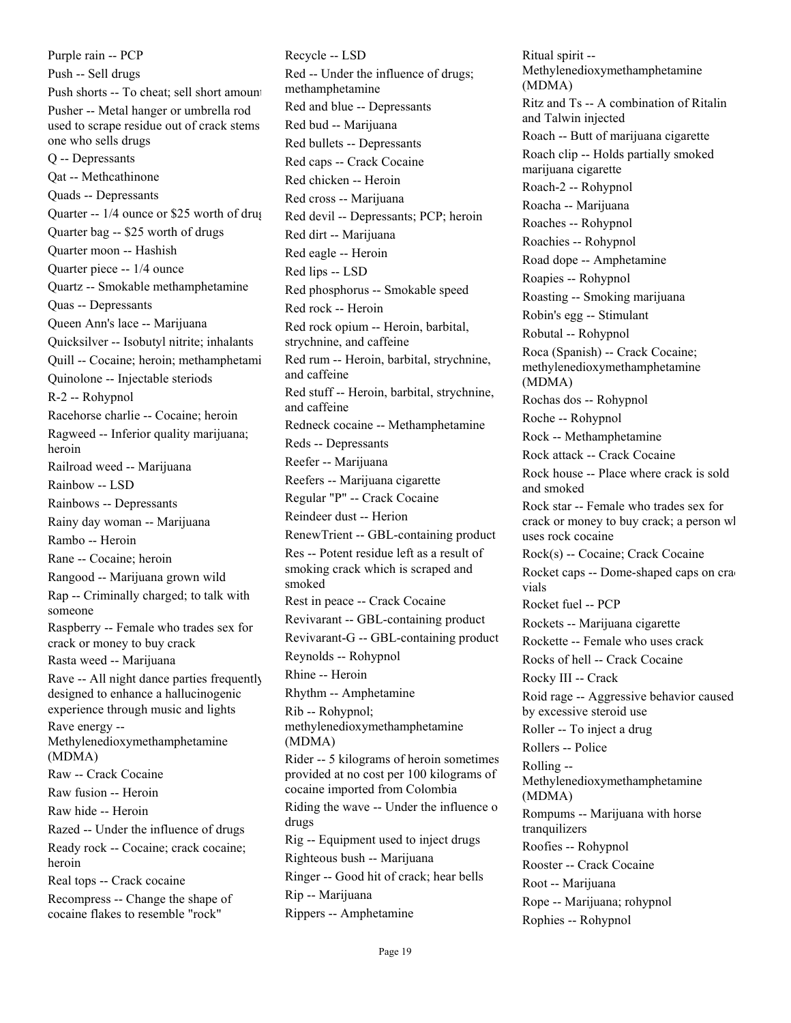Purple rain -- PCP Push -- Sell drugs Push shorts -- To cheat; sell short amount Pusher -- Metal hanger or umbrella rod used to scrape residue out of crack stems one who sells drugs Q -- Depressants Qat -- Methcathinone Quads -- Depressants Quarter -- 1/4 ounce or \$25 worth of drug Quarter bag -- \$25 worth of drugs Quarter moon -- Hashish Quarter piece -- 1/4 ounce Quartz -- Smokable methamphetamine Quas -- Depressants Queen Ann's lace -- Marijuana Quicksilver -- Isobutyl nitrite; inhalants Quill -- Cocaine; heroin; methamphetami Quinolone -- Injectable steriods R-2 -- Rohypnol Racehorse charlie -- Cocaine; heroin Ragweed -- Inferior quality marijuana; heroin Railroad weed -- Marijuana Rainbow -- LSD Rainbows -- Depressants Rainy day woman -- Marijuana Rambo -- Heroin Rane -- Cocaine; heroin Rangood -- Marijuana grown wild Rap -- Criminally charged; to talk with someone Raspberry -- Female who trades sex for crack or money to buy crack Rasta weed -- Marijuana Rave -- All night dance parties frequently designed to enhance a hallucinogenic experience through music and lights Rave energy -- Methylenedioxymethamphetamine (MDMA) Raw -- Crack Cocaine Raw fusion -- Heroin Raw hide -- Heroin Razed -- Under the influence of drugs Ready rock -- Cocaine; crack cocaine; heroin Real tops -- Crack cocaine Recompress -- Change the shape of cocaine flakes to resemble "rock"

Recycle -- LSD Red -- Under the influence of drugs; methamphetamine Red and blue -- Depressants Red bud -- Marijuana Red bullets -- Depressants Red caps -- Crack Cocaine Red chicken -- Heroin Red cross -- Marijuana Red devil -- Depressants; PCP; heroin Red dirt -- Marijuana Red eagle -- Heroin Red lips -- LSD Red phosphorus -- Smokable speed Red rock -- Heroin Red rock opium -- Heroin, barbital, strychnine, and caffeine Red rum -- Heroin, barbital, strychnine, and caffeine Red stuff -- Heroin, barbital, strychnine, and caffeine Redneck cocaine -- Methamphetamine Reds -- Depressants Reefer -- Marijuana Reefers -- Marijuana cigarette Regular "P" -- Crack Cocaine Reindeer dust -- Herion RenewTrient -- GBL-containing product Res -- Potent residue left as a result of smoking crack which is scraped and smoked Rest in peace -- Crack Cocaine Revivarant -- GBL-containing product Revivarant-G -- GBL-containing product Reynolds -- Rohypnol Rhine -- Heroin Rhythm -- Amphetamine Rib -- Rohypnol; methylenedioxymethamphetamine (MDMA) Rider -- 5 kilograms of heroin sometimes provided at no cost per 100 kilograms of cocaine imported from Colombia Riding the wave -- Under the influence o drugs Rig -- Equipment used to inject drugs Righteous bush -- Marijuana Ringer -- Good hit of crack; hear bells Rip -- Marijuana Rippers -- Amphetamine

Ritual spirit -- Methylenedioxymethamphetamine (MDMA) Ritz and Ts -- A combination of Ritalin and Talwin injected Roach -- Butt of marijuana cigarette Roach clip -- Holds partially smoked marijuana cigarette Roach-2 -- Rohypnol Roacha -- Marijuana Roaches -- Rohypnol Roachies -- Rohypnol Road dope -- Amphetamine Roapies -- Rohypnol Roasting -- Smoking marijuana Robin's egg -- Stimulant Robutal -- Rohypnol Roca (Spanish) -- Crack Cocaine; methylenedioxymethamphetamine (MDMA) Rochas dos -- Rohypnol Roche -- Rohypnol Rock -- Methamphetamine Rock attack -- Crack Cocaine Rock house -- Place where crack is sold and smoked Rock star -- Female who trades sex for crack or money to buy crack; a person wh uses rock cocaine Rock(s) -- Cocaine; Crack Cocaine Rocket caps -- Dome-shaped caps on cra vials Rocket fuel -- PCP Rockets -- Marijuana cigarette Rockette -- Female who uses crack Rocks of hell -- Crack Cocaine Rocky III -- Crack Roid rage -- Aggressive behavior caused by excessive steroid use Roller -- To inject a drug Rollers -- Police Rolling -- Methylenedioxymethamphetamine (MDMA) Rompums -- Marijuana with horse tranquilizers Roofies -- Rohypnol Rooster -- Crack Cocaine Root -- Marijuana Rope -- Marijuana; rohypnol Rophies -- Rohypnol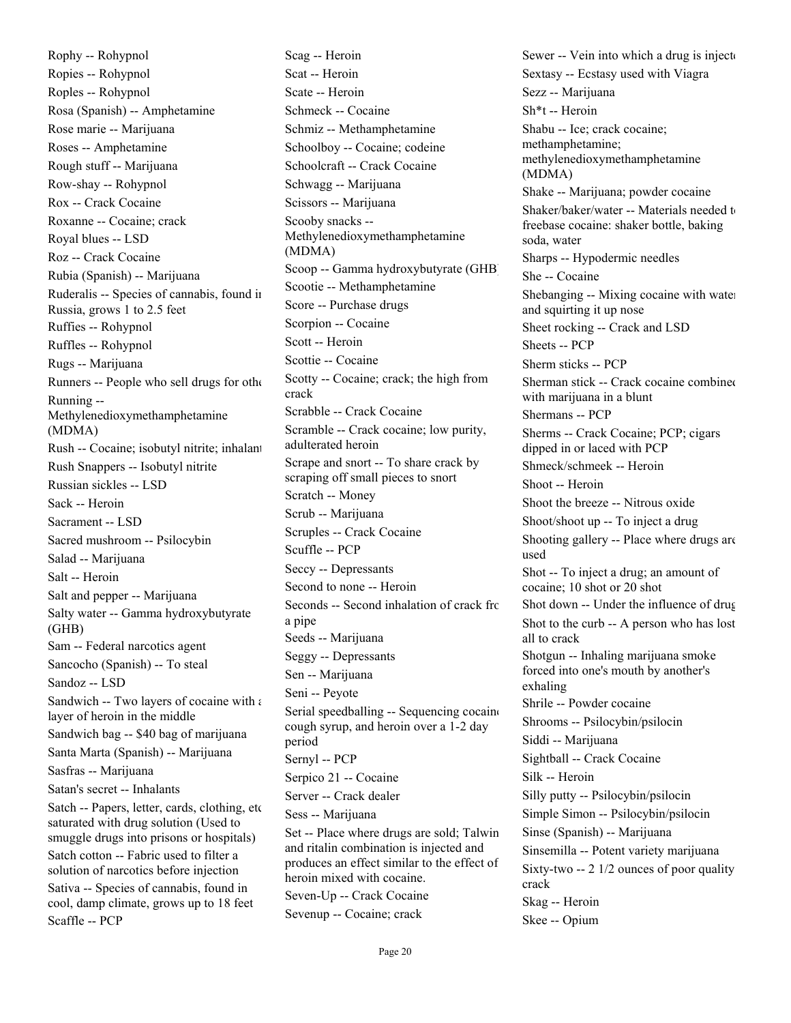Rophy -- Rohypnol Ropies -- Rohypnol Roples -- Rohypnol Rosa (Spanish) -- Amphetamine Rose marie -- Marijuana Roses -- Amphetamine Rough stuff -- Marijuana Row-shay -- Rohypnol Rox -- Crack Cocaine Roxanne -- Cocaine; crack Royal blues -- LSD Roz -- Crack Cocaine Rubia (Spanish) -- Marijuana Ruderalis -- Species of cannabis, found in Russia, grows 1 to 2.5 feet Ruffies -- Rohypnol Ruffles -- Rohypnol Rugs -- Marijuana Runners -- People who sell drugs for othe Running -- Methylenedioxymethamphetamine (MDMA) Rush -- Cocaine; isobutyl nitrite; inhalant Rush Snappers -- Isobutyl nitrite Russian sickles -- LSD Sack -- Heroin Sacrament -- LSD Sacred mushroom -- Psilocybin Salad -- Marijuana Salt -- Heroin Salt and pepper -- Marijuana Salty water -- Gamma hydroxybutyrate (GHB) Sam -- Federal narcotics agent Sancocho (Spanish) -- To steal Sandoz -- LSD Sandwich -- Two layers of cocaine with a layer of heroin in the middle Sandwich bag -- \$40 bag of marijuana Santa Marta (Spanish) -- Marijuana Sasfras -- Marijuana Satan's secret -- Inhalants Satch -- Papers, letter, cards, clothing, etc. saturated with drug solution (Used to smuggle drugs into prisons or hospitals) Satch cotton -- Fabric used to filter a solution of narcotics before injection Sativa -- Species of cannabis, found in cool, damp climate, grows up to 18 feet Scaffle -- PCP

Scag -- Heroin Scat -- Heroin Scate -- Heroin Schmeck -- Cocaine Schmiz -- Methamphetamine Schoolboy -- Cocaine; codeine Schoolcraft -- Crack Cocaine Schwagg -- Marijuana Scissors -- Marijuana Scooby snacks -- Methylenedioxymethamphetamine (MDMA) Scoop -- Gamma hydroxybutyrate (GHB) Scootie -- Methamphetamine Score -- Purchase drugs Scorpion -- Cocaine Scott -- Heroin Scottie -- Cocaine Scotty -- Cocaine; crack; the high from crack Scrabble -- Crack Cocaine Scramble -- Crack cocaine; low purity, adulterated heroin Scrape and snort -- To share crack by scraping off small pieces to snort Scratch -- Money Scrub -- Marijuana Scruples -- Crack Cocaine Scuffle -- PCP Seccy -- Depressants Second to none -- Heroin Seconds -- Second inhalation of crack from a pipe Seeds -- Marijuana Seggy -- Depressants Sen -- Marijuana Seni -- Peyote Serial speedballing -- Sequencing cocaine cough syrup, and heroin over a 1-2 day period Sernyl -- PCP Serpico 21 -- Cocaine Server -- Crack dealer Sess -- Marijuana Set -- Place where drugs are sold; Talwin and ritalin combination is injected and produces an effect similar to the effect of heroin mixed with cocaine. Seven-Up -- Crack Cocaine Sevenup -- Cocaine; crack

Sewer -- Vein into which a drug is injector-Sextasy -- Ecstasy used with Viagra Sezz -- Marijuana Sh\*t -- Heroin Shabu -- Ice; crack cocaine; methamphetamine; methylenedioxymethamphetamine (MDMA) Shake -- Marijuana; powder cocaine Shaker/baker/water -- Materials needed to freebase cocaine: shaker bottle, baking soda, water Sharps -- Hypodermic needles She -- Cocaine Shebanging -- Mixing cocaine with waterand squirting it up nose Sheet rocking -- Crack and LSD Sheets -- PCP Sherm sticks -- PCP Sherman stick -- Crack cocaine combined with marijuana in a blunt Shermans -- PCP Sherms -- Crack Cocaine; PCP; cigars dipped in or laced with PCP Shmeck/schmeek -- Heroin Shoot -- Heroin Shoot the breeze -- Nitrous oxide Shoot/shoot up -- To inject a drug Shooting gallery -- Place where drugs are used Shot -- To inject a drug; an amount of cocaine; 10 shot or 20 shot Shot down -- Under the influence of drug Shot to the curb -- A person who has lost all to crack Shotgun -- Inhaling marijuana smoke forced into one's mouth by another's exhaling Shrile -- Powder cocaine Shrooms -- Psilocybin/psilocin Siddi -- Marijuana Sightball -- Crack Cocaine Silk -- Heroin Silly putty -- Psilocybin/psilocin Simple Simon -- Psilocybin/psilocin Sinse (Spanish) -- Marijuana Sinsemilla -- Potent variety marijuana Sixty-two -- 2 1/2 ounces of poor quality crack Skag -- Heroin Skee -- Opium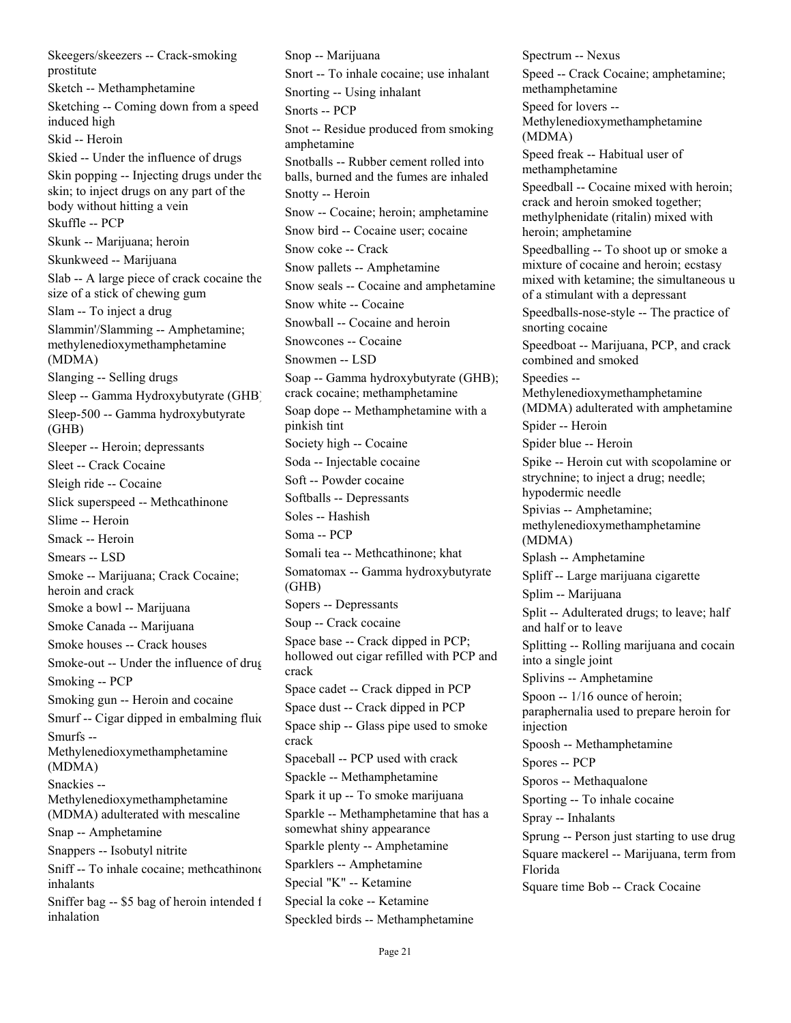Skeegers/skeezers -- Crack-smoking prostitute Sketch -- Methamphetamine Sketching -- Coming down from a speed induced high Skid -- Heroin Skied -- Under the influence of drugs Skin popping -- Injecting drugs under the skin; to inject drugs on any part of the body without hitting a vein Skuffle -- PCP Skunk -- Marijuana; heroin Skunkweed -- Marijuana Slab -- A large piece of crack cocaine the size of a stick of chewing gum Slam -- To inject a drug Slammin'/Slamming -- Amphetamine; methylenedioxymethamphetamine (MDMA) Slanging -- Selling drugs Sleep -- Gamma Hydroxybutyrate (GHB) Sleep-500 -- Gamma hydroxybutyrate (GHB) Sleeper -- Heroin; depressants Sleet -- Crack Cocaine Sleigh ride -- Cocaine Slick superspeed -- Methcathinone Slime -- Heroin Smack -- Heroin Smears -- LSD Smoke -- Marijuana; Crack Cocaine; heroin and crack Smoke a bowl -- Marijuana Smoke Canada -- Marijuana Smoke houses -- Crack houses Smoke-out -- Under the influence of drug Smoking -- PCP Smoking gun -- Heroin and cocaine Smurf -- Cigar dipped in embalming fluid Smurfs -- Methylenedioxymethamphetamine (MDMA) Snackies -- Methylenedioxymethamphetamine (MDMA) adulterated with mescaline Snap -- Amphetamine Snappers -- Isobutyl nitrite Sniff -- To inhale cocaine; methcathinone inhalants Sniffer bag -- \$5 bag of heroin intended f inhalation

Snop -- Marijuana Snort -- To inhale cocaine; use inhalant Snorting -- Using inhalant Snorts -- PCP Snot -- Residue produced from smoking amphetamine Snotballs -- Rubber cement rolled into balls, burned and the fumes are inhaled Snotty -- Heroin Snow -- Cocaine; heroin; amphetamine Snow bird -- Cocaine user; cocaine Snow coke -- Crack Snow pallets -- Amphetamine Snow seals -- Cocaine and amphetamine Snow white -- Cocaine Snowball -- Cocaine and heroin Snowcones -- Cocaine Snowmen -- LSD Soap -- Gamma hydroxybutyrate (GHB); crack cocaine; methamphetamine Soap dope -- Methamphetamine with a pinkish tint Society high -- Cocaine Soda -- Injectable cocaine Soft -- Powder cocaine Softballs -- Depressants Soles -- Hashish Soma -- PCP Somali tea -- Methcathinone; khat Somatomax -- Gamma hydroxybutyrate (GHB) Sopers -- Depressants Soup -- Crack cocaine Space base -- Crack dipped in PCP; hollowed out cigar refilled with PCP and crack Space cadet -- Crack dipped in PCP Space dust -- Crack dipped in PCP Space ship -- Glass pipe used to smoke crack Spaceball -- PCP used with crack Spackle -- Methamphetamine Spark it up -- To smoke marijuana Sparkle -- Methamphetamine that has a somewhat shiny appearance Sparkle plenty -- Amphetamine Sparklers -- Amphetamine Special "K" -- Ketamine Special la coke -- Ketamine Speckled birds -- Methamphetamine

Spectrum -- Nexus Speed -- Crack Cocaine; amphetamine; methamphetamine Speed for lovers -- Methylenedioxymethamphetamine (MDMA) Speed freak -- Habitual user of methamphetamine Speedball -- Cocaine mixed with heroin; crack and heroin smoked together; methylphenidate (ritalin) mixed with heroin; amphetamine Speedballing -- To shoot up or smoke a mixture of cocaine and heroin; ecstasy mixed with ketamine; the simultaneous u of a stimulant with a depressant Speedballs-nose-style -- The practice of snorting cocaine Speedboat -- Marijuana, PCP, and crack combined and smoked Speedies -- Methylenedioxymethamphetamine (MDMA) adulterated with amphetamine Spider -- Heroin Spider blue -- Heroin Spike -- Heroin cut with scopolamine or strychnine; to inject a drug; needle; hypodermic needle Spivias -- Amphetamine; methylenedioxymethamphetamine (MDMA) Splash -- Amphetamine Spliff -- Large marijuana cigarette Splim -- Marijuana Split -- Adulterated drugs; to leave; half and half or to leave Splitting -- Rolling marijuana and cocain into a single joint Splivins -- Amphetamine Spoon --  $1/16$  ounce of heroin; paraphernalia used to prepare heroin for injection Spoosh -- Methamphetamine Spores -- PCP Sporos -- Methaqualone Sporting -- To inhale cocaine Spray -- Inhalants Sprung -- Person just starting to use drug Square mackerel -- Marijuana, term from Florida Square time Bob -- Crack Cocaine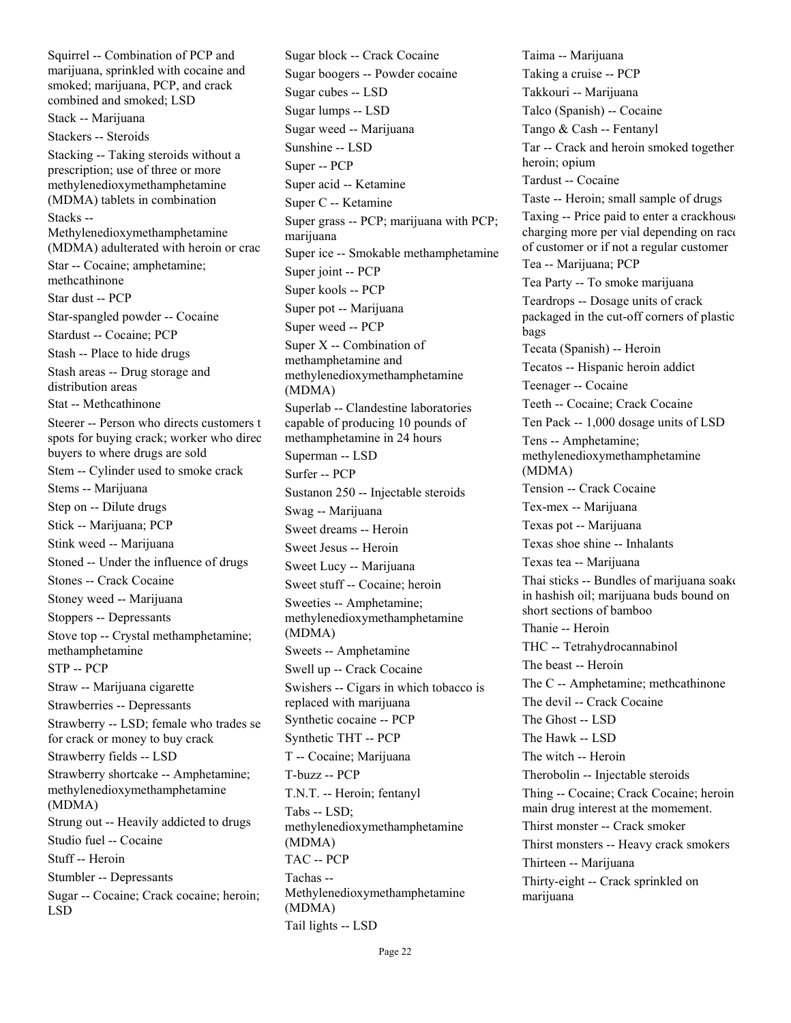Squirrel -- Combination of PCP and marijuana, sprinkled with cocaine and smoked; marijuana, PCP, and crack combined and smoked; LSD Stack -- Marijuana Stackers -- Steroids Stacking -- Taking steroids without a prescription; use of three or more methylenedioxymethamphetamine (MDMA) tablets in combination Stacks -- Methylenedioxymethamphetamine (MDMA) adulterated with heroin or crac Star -- Cocaine; amphetamine; methcathinone Star dust -- PCP Star-spangled powder -- Cocaine Stardust -- Cocaine; PCP Stash -- Place to hide drugs Stash areas -- Drug storage and distribution areas Stat -- Methcathinone Steerer -- Person who directs customers t spots for buying crack; worker who direc buyers to where drugs are sold Stem -- Cylinder used to smoke crack Stems -- Marijuana Step on -- Dilute drugs Stick -- Marijuana; PCP Stink weed -- Marijuana Stoned -- Under the influence of drugs Stones -- Crack Cocaine Stoney weed -- Marijuana Stoppers -- Depressants Stove top -- Crystal methamphetamine; methamphetamine STP -- PCP Straw -- Marijuana cigarette Strawberries -- Depressants Strawberry -- LSD; female who trades se for crack or money to buy crack Strawberry fields -- LSD Strawberry shortcake -- Amphetamine; methylenedioxymethamphetamine (MDMA) Strung out -- Heavily addicted to drugs Studio fuel -- Cocaine Stuff -- Heroin Stumbler -- Depressants Sugar -- Cocaine; Crack cocaine; heroin; LSD

Sugar block -- Crack Cocaine Sugar boogers -- Powder cocaine Sugar cubes -- LSD Sugar lumps -- LSD Sugar weed -- Marijuana Sunshine -- LSD Super -- PCP Super acid -- Ketamine Super C -- Ketamine Super grass -- PCP; marijuana with PCP; marijuana Super ice -- Smokable methamphetamine Super joint -- PCP Super kools -- PCP Super pot -- Marijuana Super weed -- PCP Super X -- Combination of methamphetamine and methylenedioxymethamphetamine (MDMA) Superlab -- Clandestine laboratories capable of producing 10 pounds of methamphetamine in 24 hours Superman -- LSD Surfer -- PCP Sustanon 250 -- Injectable steroids Swag -- Marijuana Sweet dreams -- Heroin Sweet Jesus -- Heroin Sweet Lucy -- Marijuana Sweet stuff -- Cocaine; heroin Sweeties -- Amphetamine; methylenedioxymethamphetamine (MDMA) Sweets -- Amphetamine Swell up -- Crack Cocaine Swishers -- Cigars in which tobacco is replaced with marijuana Synthetic cocaine -- PCP Synthetic THT -- PCP T -- Cocaine; Marijuana T-buzz -- PCP T.N.T. -- Heroin; fentanyl Tabs -- LSD; methylenedioxymethamphetamine (MDMA) TAC -- PCP Tachas -- Methylenedioxymethamphetamine (MDMA) Tail lights -- LSD

Taima -- Marijuana Taking a cruise -- PCP Takkouri -- Marijuana Talco (Spanish) -- Cocaine Tango & Cash -- Fentanyl Tar -- Crack and heroin smoked together; heroin; opium Tardust -- Cocaine Taste -- Heroin; small sample of drugs Taxing -- Price paid to enter a crackhouse charging more per vial depending on race of customer or if not a regular customer Tea -- Marijuana; PCP Tea Party -- To smoke marijuana Teardrops -- Dosage units of crack packaged in the cut-off corners of plastic bags Tecata (Spanish) -- Heroin Tecatos -- Hispanic heroin addict Teenager -- Cocaine Teeth -- Cocaine; Crack Cocaine Ten Pack -- 1,000 dosage units of LSD Tens -- Amphetamine; methylenedioxymethamphetamine (MDMA) Tension -- Crack Cocaine Tex-mex -- Marijuana Texas pot -- Marijuana Texas shoe shine -- Inhalants Texas tea -- Marijuana Thai sticks -- Bundles of marijuana soake in hashish oil; marijuana buds bound on short sections of bamboo Thanie -- Heroin THC -- Tetrahydrocannabinol The beast -- Heroin The C -- Amphetamine; methcathinone The devil -- Crack Cocaine The Ghost -- LSD The Hawk -- LSD The witch -- Heroin Therobolin -- Injectable steroids Thing -- Cocaine; Crack Cocaine; heroin main drug interest at the momement. Thirst monster -- Crack smoker Thirst monsters -- Heavy crack smokers Thirteen -- Marijuana Thirty-eight -- Crack sprinkled on marijuana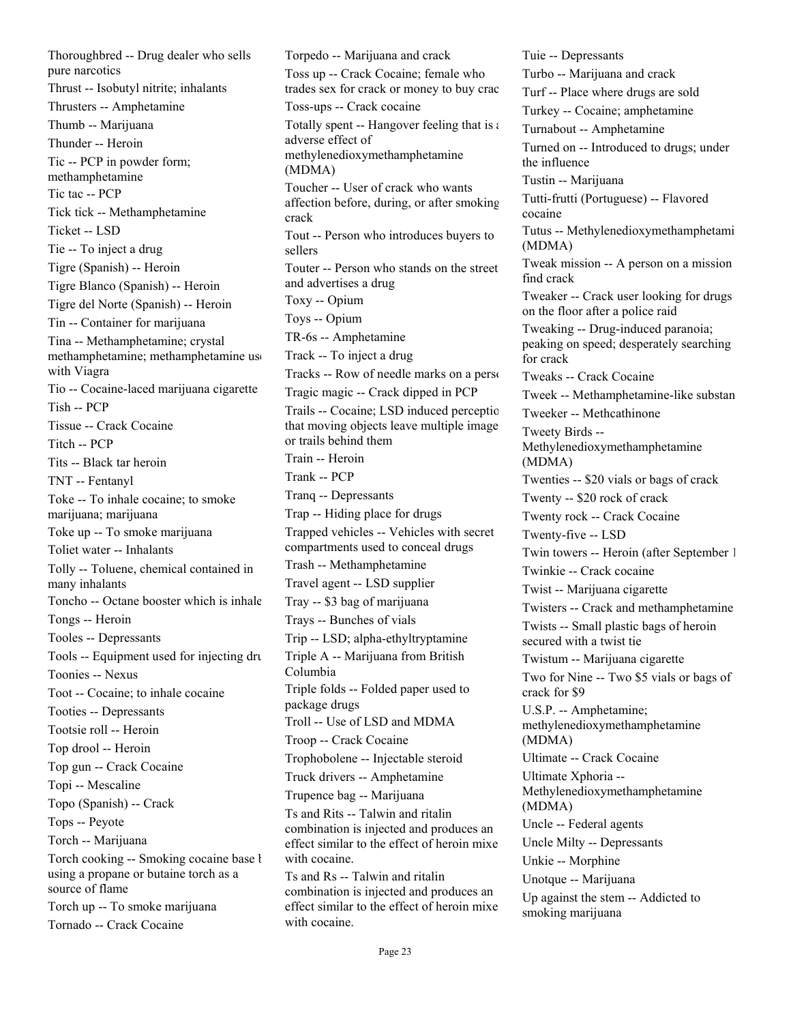Thoroughbred -- Drug dealer who sells pure narcotics Thrust -- Isobutyl nitrite; inhalants Thrusters -- Amphetamine Thumb -- Marijuana Thunder -- Heroin Tic -- PCP in powder form; methamphetamine Tic tac -- PCP Tick tick -- Methamphetamine Ticket -- LSD Tie -- To inject a drug Tigre (Spanish) -- Heroin Tigre Blanco (Spanish) -- Heroin Tigre del Norte (Spanish) -- Heroin Tin -- Container for marijuana Tina -- Methamphetamine; crystal methamphetamine; methamphetamine us with Viagra Tio -- Cocaine-laced marijuana cigarette Tish -- PCP Tissue -- Crack Cocaine Titch -- PCP Tits -- Black tar heroin TNT -- Fentanyl Toke -- To inhale cocaine; to smoke marijuana; marijuana Toke up -- To smoke marijuana Toliet water -- Inhalants Tolly -- Toluene, chemical contained in many inhalants Toncho -- Octane booster which is inhale Tongs -- Heroin Tooles -- Depressants Tools -- Equipment used for injecting dru Toonies -- Nexus Toot -- Cocaine; to inhale cocaine Tooties -- Depressants Tootsie roll -- Heroin Top drool -- Heroin Top gun -- Crack Cocaine Topi -- Mescaline Topo (Spanish) -- Crack Tops -- Peyote Torch -- Marijuana Torch cooking -- Smoking cocaine base b using a propane or butaine torch as a source of flame Torch up -- To smoke marijuana Tornado -- Crack Cocaine

Torpedo -- Marijuana and crack Toss up -- Crack Cocaine; female who trades sex for crack or money to buy crac Toss-ups -- Crack cocaine Totally spent -- Hangover feeling that is a adverse effect of methylenedioxymethamphetamine (MDMA) Toucher -- User of crack who wants affection before, during, or after smoking crack Tout -- Person who introduces buyers to sellers Touter -- Person who stands on the street and advertises a drug Toxy -- Opium Toys -- Opium TR-6s -- Amphetamine Track -- To inject a drug Tracks -- Row of needle marks on a person Tragic magic -- Crack dipped in PCP Trails -- Cocaine; LSD induced perceptio that moving objects leave multiple image or trails behind them Train -- Heroin Trank -- PCP Tranq -- Depressants Trap -- Hiding place for drugs Trapped vehicles -- Vehicles with secret compartments used to conceal drugs Trash -- Methamphetamine Travel agent -- LSD supplier Tray -- \$3 bag of marijuana Trays -- Bunches of vials Trip -- LSD; alpha-ethyltryptamine Triple A -- Marijuana from British Columbia Triple folds -- Folded paper used to package drugs Troll -- Use of LSD and MDMA Troop -- Crack Cocaine Trophobolene -- Injectable steroid Truck drivers -- Amphetamine Trupence bag -- Marijuana Ts and Rits -- Talwin and ritalin combination is injected and produces an effect similar to the effect of heroin mixe with cocaine. Ts and Rs -- Talwin and ritalin combination is injected and produces an effect similar to the effect of heroin mixe

Turbo -- Marijuana and crack Turf -- Place where drugs are sold Turkey -- Cocaine; amphetamine Turnabout -- Amphetamine Turned on -- Introduced to drugs; under the influence Tustin -- Marijuana Tutti-frutti (Portuguese) -- Flavored cocaine Tutus -- Methylenedioxymethamphetamin (MDMA) Tweak mission -- A person on a mission find crack Tweaker -- Crack user looking for drugs on the floor after a police raid Tweaking -- Drug-induced paranoia; peaking on speed; desperately searching for crack Tweaks -- Crack Cocaine Tweek -- Methamphetamine-like substan Tweeker -- Methcathinone Tweety Birds -- Methylenedioxymethamphetamine (MDMA) Twenties -- \$20 vials or bags of crack Twenty -- \$20 rock of crack Twenty rock -- Crack Cocaine Twenty-five -- LSD Twin towers -- Heroin (after September 1 Twinkie -- Crack cocaine Twist -- Marijuana cigarette Twisters -- Crack and methamphetamine Twists -- Small plastic bags of heroin secured with a twist tie Twistum -- Marijuana cigarette Two for Nine -- Two \$5 vials or bags of crack for \$9 U.S.P. -- Amphetamine; methylenedioxymethamphetamine (MDMA) Ultimate -- Crack Cocaine Ultimate Xphoria -- Methylenedioxymethamphetamine (MDMA) Uncle -- Federal agents Uncle Milty -- Depressants Unkie -- Morphine Unotque -- Marijuana Up against the stem -- Addicted to smoking marijuana

Tuie -- Depressants

with cocaine.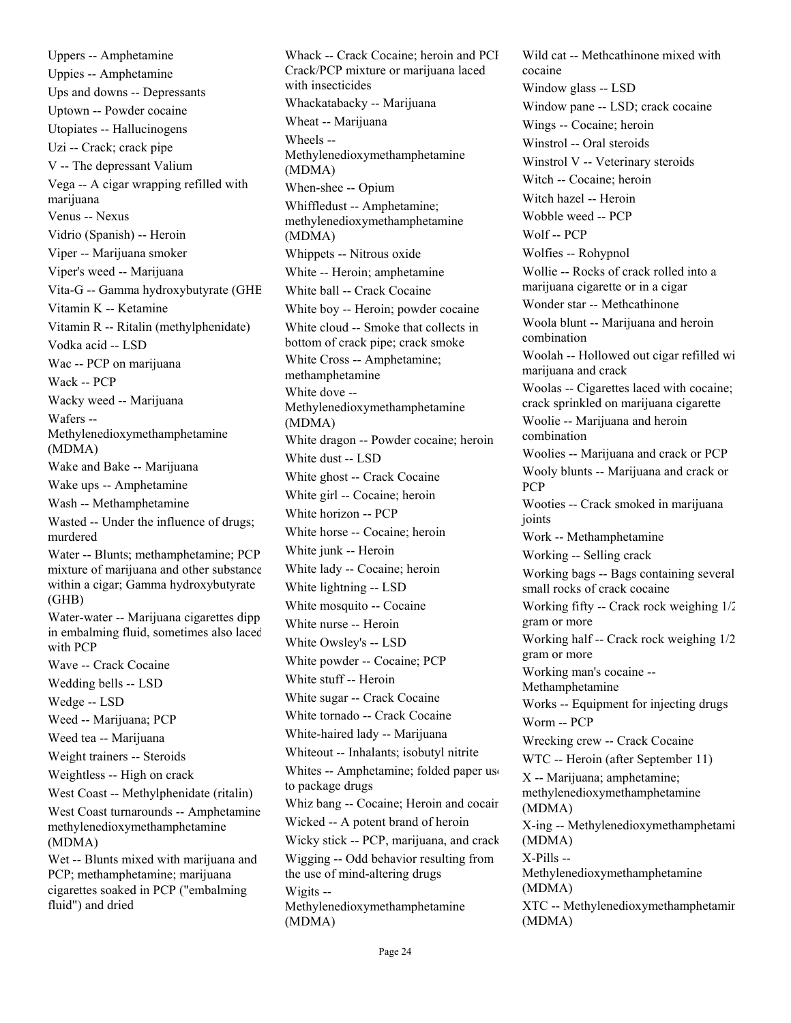Uppers -- Amphetamine Uppies -- Amphetamine Ups and downs -- Depressants Uptown -- Powder cocaine Utopiates -- Hallucinogens Uzi -- Crack; crack pipe V -- The depressant Valium Vega -- A cigar wrapping refilled with marijuana Venus -- Nexus Vidrio (Spanish) -- Heroin Viper -- Marijuana smoker Viper's weed -- Marijuana Vita-G -- Gamma hydroxybutyrate (GHB Vitamin K -- Ketamine Vitamin R -- Ritalin (methylphenidate) Vodka acid -- LSD Wac -- PCP on marijuana Wack -- PCP Wacky weed -- Marijuana Wafers -- Methylenedioxymethamphetamine (MDMA) Wake and Bake -- Marijuana Wake ups -- Amphetamine Wash -- Methamphetamine Wasted -- Under the influence of drugs; murdered Water -- Blunts; methamphetamine; PCP mixture of marijuana and other substance within a cigar; Gamma hydroxybutyrate (GHB) Water-water -- Marijuana cigarettes dipp in embalming fluid, sometimes also laced with PCP Wave -- Crack Cocaine Wedding bells -- LSD Wedge -- LSD Weed -- Marijuana; PCP Weed tea -- Marijuana Weight trainers -- Steroids Weightless -- High on crack West Coast -- Methylphenidate (ritalin) West Coast turnarounds -- Amphetamine methylenedioxymethamphetamine (MDMA) Wet -- Blunts mixed with marijuana and PCP; methamphetamine; marijuana cigarettes soaked in PCP ("embalming fluid") and dried

Whack -- Crack Cocaine; heroin and PCI Crack/PCP mixture or marijuana laced with insecticides Whackatabacky -- Marijuana Wheat -- Marijuana Wheels -- Methylenedioxymethamphetamine (MDMA) When-shee -- Opium Whiffledust -- Amphetamine; methylenedioxymethamphetamine (MDMA) Whippets -- Nitrous oxide White -- Heroin; amphetamine White ball -- Crack Cocaine White boy -- Heroin; powder cocaine White cloud -- Smoke that collects in bottom of crack pipe; crack smoke White Cross -- Amphetamine; methamphetamine White dove -- Methylenedioxymethamphetamine (MDMA) White dragon -- Powder cocaine; heroin White dust -- LSD White ghost -- Crack Cocaine White girl -- Cocaine; heroin White horizon -- PCP White horse -- Cocaine; heroin White junk -- Heroin White lady -- Cocaine; heroin White lightning -- LSD White mosquito -- Cocaine White nurse -- Heroin White Owsley's -- LSD White powder -- Cocaine; PCP White stuff -- Heroin White sugar -- Crack Cocaine White tornado -- Crack Cocaine White-haired lady -- Marijuana Whiteout -- Inhalants; isobutyl nitrite Whites -- Amphetamine; folded paper use to package drugs Whiz bang -- Cocaine; Heroin and cocain Wicked -- A potent brand of heroin Wicky stick -- PCP, marijuana, and crack Wigging -- Odd behavior resulting from the use of mind-altering drugs Wigits -- Methylenedioxymethamphetamine (MDMA)

Wild cat -- Methcathinone mixed with cocaine Window glass -- LSD Window pane -- LSD; crack cocaine Wings -- Cocaine; heroin Winstrol -- Oral steroids Winstrol V -- Veterinary steroids Witch -- Cocaine; heroin Witch hazel -- Heroin Wobble weed -- PCP Wolf -- PCP Wolfies -- Rohypnol Wollie -- Rocks of crack rolled into a marijuana cigarette or in a cigar Wonder star -- Methcathinone Woola blunt -- Marijuana and heroin combination Woolah -- Hollowed out cigar refilled wi marijuana and crack Woolas -- Cigarettes laced with cocaine; crack sprinkled on marijuana cigarette Woolie -- Marijuana and heroin combination Woolies -- Marijuana and crack or PCP Wooly blunts -- Marijuana and crack or PCP Wooties -- Crack smoked in marijuana joints Work -- Methamphetamine Working -- Selling crack Working bags -- Bags containing several small rocks of crack cocaine Working fifty -- Crack rock weighing 1/2 gram or more Working half -- Crack rock weighing 1/2 gram or more Working man's cocaine -- Methamphetamine Works -- Equipment for injecting drugs Worm -- PCP Wrecking crew -- Crack Cocaine WTC -- Heroin (after September 11) X -- Marijuana; amphetamine; methylenedioxymethamphetamine (MDMA) X-ing -- Methylenedioxymethamphetami (MDMA) X-Pills -- Methylenedioxymethamphetamine (MDMA) XTC -- Methylenedioxymethamphetamin (MDMA)